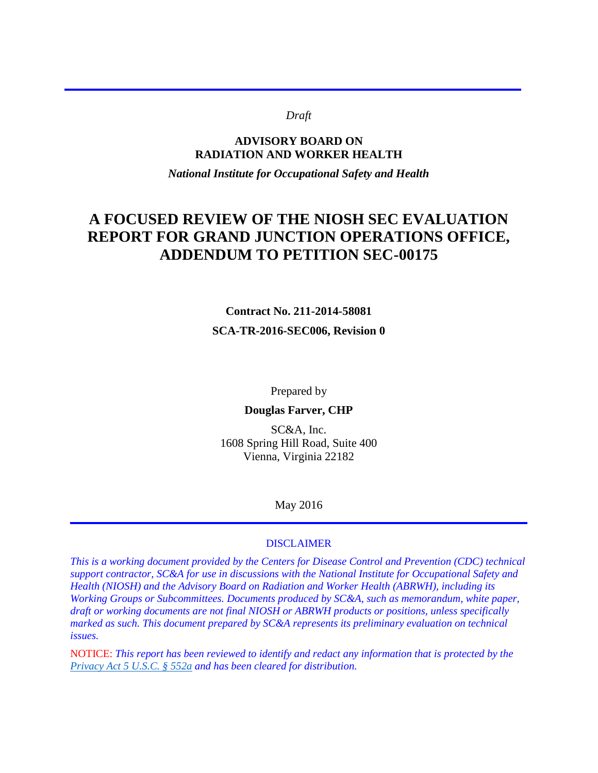#### *Draft*

#### **ADVISORY BOARD ON RADIATION AND WORKER HEALTH**

*National Institute for Occupational Safety and Health* 

# **A FOCUSED REVIEW OF THE NIOSH SEC EVALUATION REPORT FOR GRAND JUNCTION OPERATIONS OFFICE, ADDENDUM TO PETITION SEC-00175**

## **Contract No. 211-2014-58081 SCA-TR-2016-SEC006, Revision 0**

Prepared by

#### **Douglas Farver, CHP**

SC&A, Inc. 1608 Spring Hill Road, Suite 400 Vienna, Virginia 22182

May 2016

#### DISCLAIMER

*This is a working document provided by the Centers for Disease Control and Prevention (CDC) technical support contractor, SC&A for use in discussions with the National Institute for Occupational Safety and Health (NIOSH) and the Advisory Board on Radiation and Worker Health (ABRWH), including its Working Groups or Subcommittees. Documents produced by SC&A, such as memorandum, white paper, draft or working documents are not final NIOSH or ABRWH products or positions, unless specifically marked as such. This document prepared by SC&A represents its preliminary evaluation on technical issues.* 

NOTICE: *This report has been reviewed to identify and redact any information that is protected by the [Privacy Act 5 U.S.C. § 552a](http://www.justice.gov/opcl/privacy-act-1974) and has been cleared for distribution.*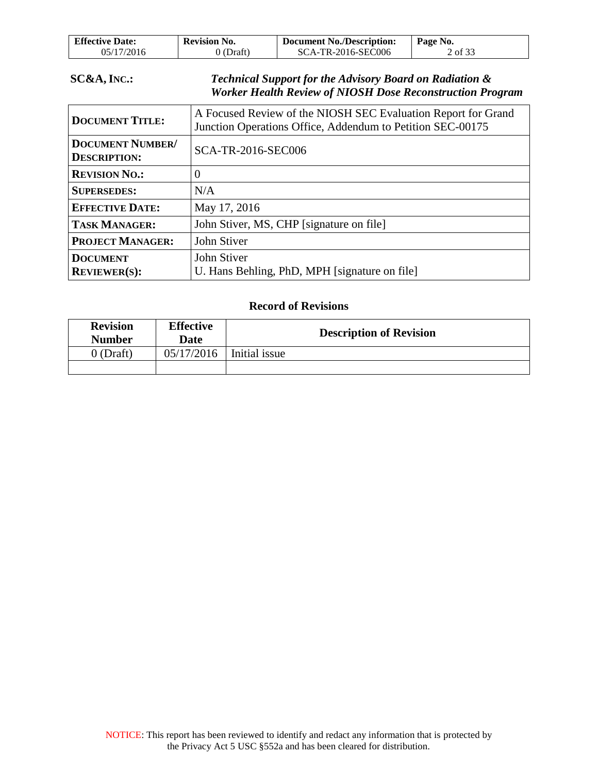| <b>Effective Date:</b> | <b>Revision No.</b> | <b>Document No./Description:</b> | Page No. |
|------------------------|---------------------|----------------------------------|----------|
| 05/17/2016             | $0$ (Draft)         | SCA-TR-2016-SEC006               | 2 of 33  |

### **SC&A, INC.:** *Technical Support for the Advisory Board on Radiation & Worker Health Review of NIOSH Dose Reconstruction Program*

| <b>DOCUMENT TITLE:</b>                         | A Focused Review of the NIOSH SEC Evaluation Report for Grand<br>Junction Operations Office, Addendum to Petition SEC-00175 |
|------------------------------------------------|-----------------------------------------------------------------------------------------------------------------------------|
| <b>DOCUMENT NUMBER/</b><br><b>DESCRIPTION:</b> | SCA-TR-2016-SEC006                                                                                                          |
| <b>REVISION NO.:</b>                           | 0                                                                                                                           |
| <b>SUPERSEDES:</b>                             | N/A                                                                                                                         |
| <b>EFFECTIVE DATE:</b>                         | May 17, 2016                                                                                                                |
| <b>TASK MANAGER:</b>                           | John Stiver, MS, CHP [signature on file]                                                                                    |
| <b>PROJECT MANAGER:</b>                        | John Stiver                                                                                                                 |
| <b>DOCUMENT</b><br><b>REVIEWER(S):</b>         | John Stiver<br>U. Hans Behling, PhD, MPH [signature on file]                                                                |

#### **Record of Revisions**

| <b>Revision</b><br><b>Number</b> | <b>Effective</b><br>Date | <b>Description of Revision</b> |  |
|----------------------------------|--------------------------|--------------------------------|--|
| $0$ (Draft)                      | 05/17/2016               | Initial issue                  |  |
|                                  |                          |                                |  |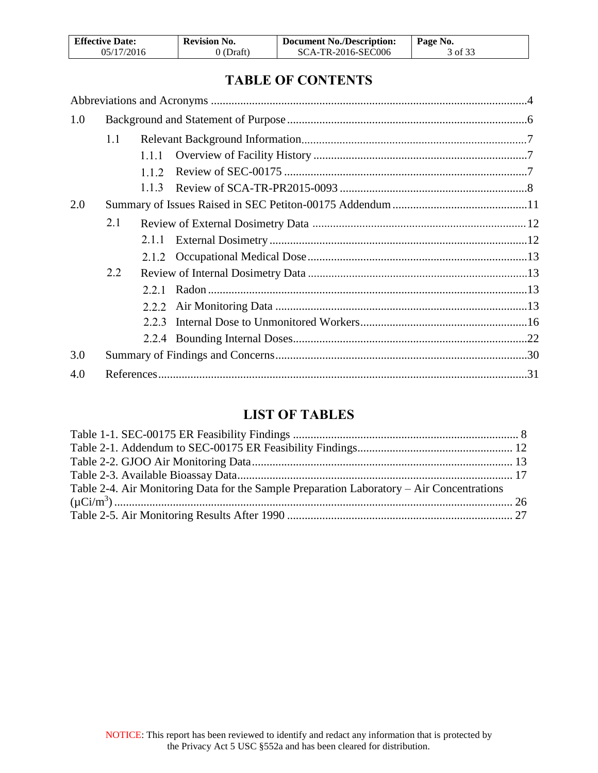| <b>Effective Date:</b> | <b>Revision No.</b> | <b>Document No./Description:</b> | Page No. |
|------------------------|---------------------|----------------------------------|----------|
| 05/17/2016             | 0 (Draft)           | SCA-TR-2016-SEC006               | 3 of 33  |

# **TABLE OF CONTENTS**

| 1.0 |     |       |  |
|-----|-----|-------|--|
|     | 1.1 |       |  |
|     |     | 1.1.1 |  |
|     |     | 1 1 2 |  |
|     |     | 113   |  |
| 2.0 |     |       |  |
|     | 2.1 |       |  |
|     |     | 2.1.1 |  |
|     |     |       |  |
|     | 2.2 |       |  |
|     |     | 2.2.1 |  |
|     |     | 222   |  |
|     |     | 223   |  |
|     |     |       |  |
| 3.0 |     |       |  |
| 4.0 |     |       |  |
|     |     |       |  |

## **LIST OF TABLES**

| Table 2-4. Air Monitoring Data for the Sample Preparation Laboratory – Air Concentrations |  |
|-------------------------------------------------------------------------------------------|--|
|                                                                                           |  |
|                                                                                           |  |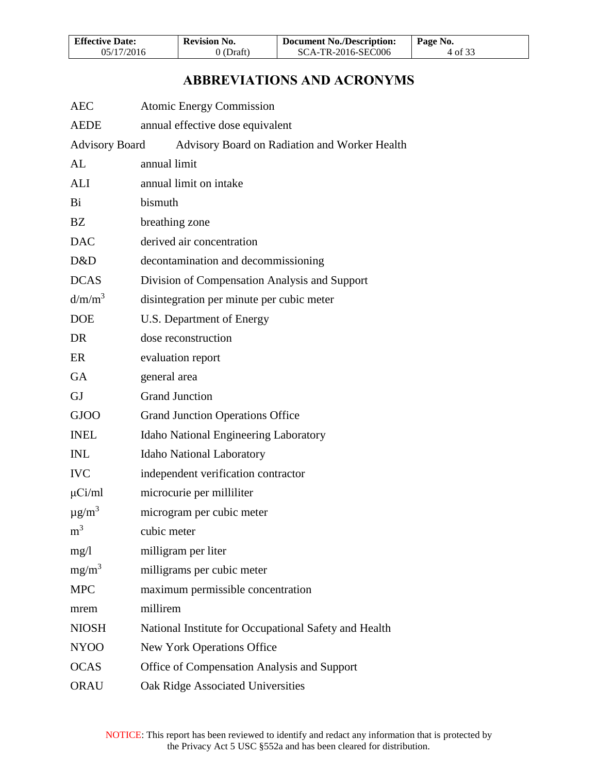| <b>Effective Date:</b> | <b>Revision No.</b> | <b>Document No./Description:</b> | Page No. |
|------------------------|---------------------|----------------------------------|----------|
| 05/17/2016             | 0 (Draft)           | SCA-TR-2016-SEC006               | 4 of 33  |

# **ABBREVIATIONS AND ACRONYMS**

<span id="page-3-0"></span>

| <b>AEC</b>            | <b>Atomic Energy Commission</b>                       |
|-----------------------|-------------------------------------------------------|
| <b>AEDE</b>           | annual effective dose equivalent                      |
| <b>Advisory Board</b> | Advisory Board on Radiation and Worker Health         |
| AL                    | annual limit                                          |
| ALI                   | annual limit on intake                                |
| Bi                    | bismuth                                               |
| BZ                    | breathing zone                                        |
| <b>DAC</b>            | derived air concentration                             |
| D&D                   | decontamination and decommissioning                   |
| <b>DCAS</b>           | Division of Compensation Analysis and Support         |
| d/m/m <sup>3</sup>    | disintegration per minute per cubic meter             |
| <b>DOE</b>            | U.S. Department of Energy                             |
| DR                    | dose reconstruction                                   |
| ER                    | evaluation report                                     |
| GA                    | general area                                          |
| <b>GJ</b>             | <b>Grand Junction</b>                                 |
| <b>GJOO</b>           | <b>Grand Junction Operations Office</b>               |
| <b>INEL</b>           | Idaho National Engineering Laboratory                 |
| <b>INL</b>            | Idaho National Laboratory                             |
| <b>IVC</b>            | independent verification contractor                   |
| $\mu$ Ci/ml           | microcurie per milliliter                             |
| $\mu g/m^3$           | microgram per cubic meter                             |
| m <sup>3</sup>        | cubic meter                                           |
| mg/1                  | milligram per liter                                   |
| $mg/m^3$              | milligrams per cubic meter                            |
| <b>MPC</b>            | maximum permissible concentration                     |
| mrem                  | millirem                                              |
| <b>NIOSH</b>          | National Institute for Occupational Safety and Health |
| NY <sub>00</sub>      | New York Operations Office                            |
| <b>OCAS</b>           | Office of Compensation Analysis and Support           |
| <b>ORAU</b>           | Oak Ridge Associated Universities                     |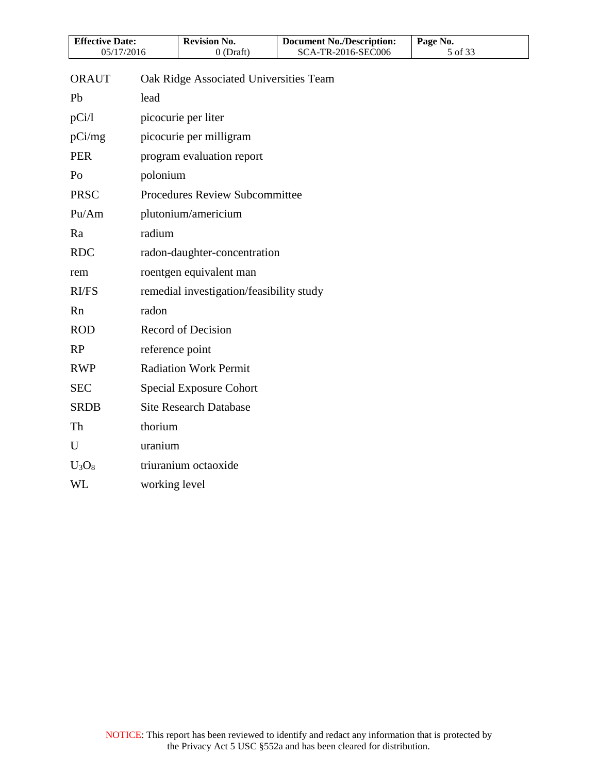| <b>Effective Date:</b> |                 | <b>Revision No.</b>                      | <b>Document No./Description:</b> | Page No. |
|------------------------|-----------------|------------------------------------------|----------------------------------|----------|
| 05/17/2016             |                 | $0$ (Draft)                              | SCA-TR-2016-SEC006               | 5 of 33  |
| <b>ORAUT</b>           |                 | Oak Ridge Associated Universities Team   |                                  |          |
| Pb                     | lead            |                                          |                                  |          |
| pCi/l                  |                 | picocurie per liter                      |                                  |          |
| pCi/mg                 |                 | picocurie per milligram                  |                                  |          |
| <b>PER</b>             |                 | program evaluation report                |                                  |          |
| Po                     | polonium        |                                          |                                  |          |
| <b>PRSC</b>            |                 | Procedures Review Subcommittee           |                                  |          |
| Pu/Am                  |                 | plutonium/americium                      |                                  |          |
| Ra                     | radium          |                                          |                                  |          |
| <b>RDC</b>             |                 | radon-daughter-concentration             |                                  |          |
| rem                    |                 | roentgen equivalent man                  |                                  |          |
| <b>RI/FS</b>           |                 | remedial investigation/feasibility study |                                  |          |
| Rn                     | radon           |                                          |                                  |          |
| <b>ROD</b>             |                 | Record of Decision                       |                                  |          |
| RP                     | reference point |                                          |                                  |          |
| <b>RWP</b>             |                 | <b>Radiation Work Permit</b>             |                                  |          |
| <b>SEC</b>             |                 | <b>Special Exposure Cohort</b>           |                                  |          |
| <b>SRDB</b>            |                 | <b>Site Research Database</b>            |                                  |          |
| Th                     | thorium         |                                          |                                  |          |
| U                      | uranium         |                                          |                                  |          |
| $U_3O_8$               |                 | triuranium octaoxide                     |                                  |          |
| WL                     | working level   |                                          |                                  |          |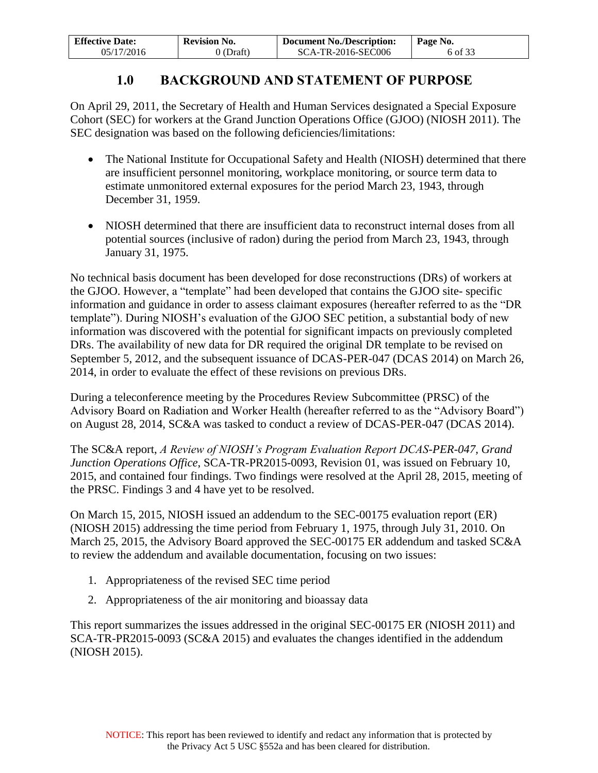| <b>Effective Date:</b> | <b>Revision No.</b> | <b>Document No./Description:</b> | Page No. |
|------------------------|---------------------|----------------------------------|----------|
| 05/17/2016             | 0 (Draft)           | SCA-TR-2016-SEC006               | 6 of 33  |

## **1.0 BACKGROUND AND STATEMENT OF PURPOSE**

<span id="page-5-0"></span>On April 29, 2011, the Secretary of Health and Human Services designated a Special Exposure Cohort (SEC) for workers at the Grand Junction Operations Office (GJOO) (NIOSH 2011). The SEC designation was based on the following deficiencies/limitations:

- The National Institute for Occupational Safety and Health (NIOSH) determined that there are insufficient personnel monitoring, workplace monitoring, or source term data to estimate unmonitored external exposures for the period March 23, 1943, through December 31, 1959.
- NIOSH determined that there are insufficient data to reconstruct internal doses from all potential sources (inclusive of radon) during the period from March 23, 1943, through January 31, 1975.

No technical basis document has been developed for dose reconstructions (DRs) of workers at the GJOO. However, a "template" had been developed that contains the GJOO site- specific information and guidance in order to assess claimant exposures (hereafter referred to as the "DR template"). During NIOSH's evaluation of the GJOO SEC petition, a substantial body of new information was discovered with the potential for significant impacts on previously completed DRs. The availability of new data for DR required the original DR template to be revised on September 5, 2012, and the subsequent issuance of DCAS-PER-047 (DCAS 2014) on March 26, 2014, in order to evaluate the effect of these revisions on previous DRs.

During a teleconference meeting by the Procedures Review Subcommittee (PRSC) of the Advisory Board on Radiation and Worker Health (hereafter referred to as the "Advisory Board") on August 28, 2014, SC&A was tasked to conduct a review of DCAS-PER-047 (DCAS 2014).

The SC&A report, *A Review of NIOSH's Program Evaluation Report DCAS-PER-047, Grand Junction Operations Office*, SCA-TR-PR2015-0093, Revision 01, was issued on February 10, 2015, and contained four findings. Two findings were resolved at the April 28, 2015, meeting of the PRSC. Findings 3 and 4 have yet to be resolved.

On March 15, 2015, NIOSH issued an addendum to the SEC-00175 evaluation report (ER) (NIOSH 2015) addressing the time period from February 1, 1975, through July 31, 2010. On March 25, 2015, the Advisory Board approved the SEC-00175 ER addendum and tasked SC&A to review the addendum and available documentation, focusing on two issues:

- 1. Appropriateness of the revised SEC time period
- 2. Appropriateness of the air monitoring and bioassay data

This report summarizes the issues addressed in the original SEC-00175 ER (NIOSH 2011) and SCA-TR-PR2015-0093 (SC&A 2015) and evaluates the changes identified in the addendum (NIOSH 2015).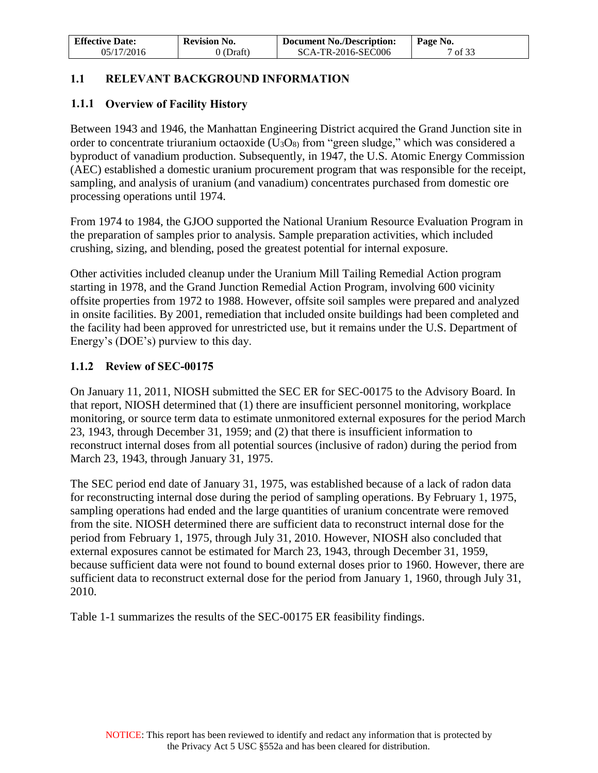| <b>Effective Date:</b> | <b>Revision No.</b> | <b>Document No./Description:</b> | Page No. |
|------------------------|---------------------|----------------------------------|----------|
| 05/17/2016             | $0$ (Draft)         | SCA-TR-2016-SEC006               | 7 of 33  |

### <span id="page-6-0"></span>**1.1 RELEVANT BACKGROUND INFORMATION**

### <span id="page-6-1"></span>**1.1.1 Overview of Facility History**

Between 1943 and 1946, the Manhattan Engineering District acquired the Grand Junction site in order to concentrate triuranium octaoxide  $(U_3O_8)$  from "green sludge," which was considered a byproduct of vanadium production. Subsequently, in 1947, the U.S. Atomic Energy Commission (AEC) established a domestic uranium procurement program that was responsible for the receipt, sampling, and analysis of uranium (and vanadium) concentrates purchased from domestic ore processing operations until 1974.

From 1974 to 1984, the GJOO supported the National Uranium Resource Evaluation Program in the preparation of samples prior to analysis. Sample preparation activities, which included crushing, sizing, and blending, posed the greatest potential for internal exposure.

Other activities included cleanup under the Uranium Mill Tailing Remedial Action program starting in 1978, and the Grand Junction Remedial Action Program, involving 600 vicinity offsite properties from 1972 to 1988. However, offsite soil samples were prepared and analyzed in onsite facilities. By 2001, remediation that included onsite buildings had been completed and the facility had been approved for unrestricted use, but it remains under the U.S. Department of Energy's (DOE's) purview to this day.

#### <span id="page-6-2"></span>**1.1.2 Review of SEC-00175**

On January 11, 2011, NIOSH submitted the SEC ER for SEC-00175 to the Advisory Board. In that report, NIOSH determined that (1) there are insufficient personnel monitoring, workplace monitoring, or source term data to estimate unmonitored external exposures for the period March 23, 1943, through December 31, 1959; and (2) that there is insufficient information to reconstruct internal doses from all potential sources (inclusive of radon) during the period from March 23, 1943, through January 31, 1975.

The SEC period end date of January 31, 1975, was established because of a lack of radon data for reconstructing internal dose during the period of sampling operations. By February 1, 1975, sampling operations had ended and the large quantities of uranium concentrate were removed from the site. NIOSH determined there are sufficient data to reconstruct internal dose for the period from February 1, 1975, through July 31, 2010. However, NIOSH also concluded that external exposures cannot be estimated for March 23, 1943, through December 31, 1959, because sufficient data were not found to bound external doses prior to 1960. However, there are sufficient data to reconstruct external dose for the period from January 1, 1960, through July 31, 2010.

Table 1-1 summarizes the results of the SEC-00175 ER feasibility findings.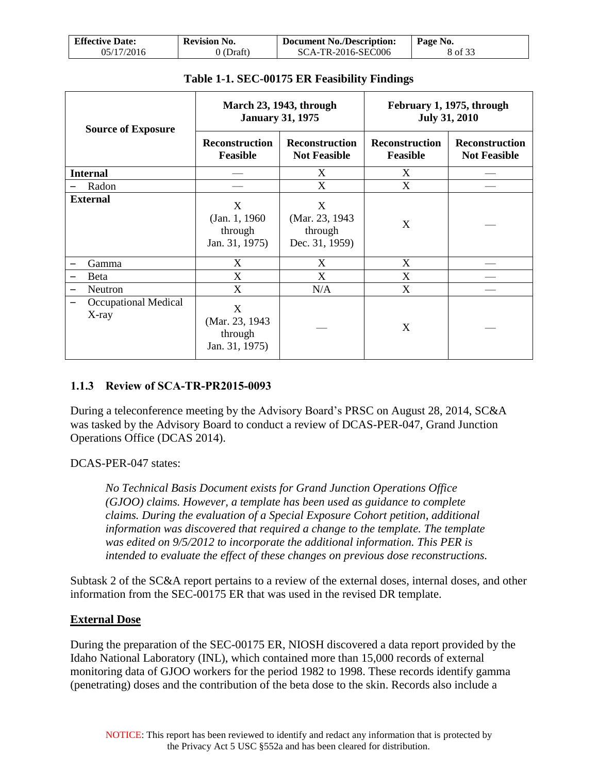| <b>Effective Date:</b> | <b>Revision No.</b> | <b>Document No./Description:</b> | Page No. |
|------------------------|---------------------|----------------------------------|----------|
| 05/17/2016             | 0 (Draft)           | SCA-TR-2016-SEC006               | 8 of 33  |

<span id="page-7-1"></span>

| <b>Source of Exposure</b>     | <b>March 23, 1943, through</b><br><b>January 31, 1975</b> |                                                   | February 1, 1975, through<br><b>July 31, 2010</b> |                                              |
|-------------------------------|-----------------------------------------------------------|---------------------------------------------------|---------------------------------------------------|----------------------------------------------|
|                               | <b>Reconstruction</b><br><b>Feasible</b>                  | <b>Reconstruction</b><br><b>Not Feasible</b>      | <b>Reconstruction</b><br><b>Feasible</b>          | <b>Reconstruction</b><br><b>Not Feasible</b> |
| <b>Internal</b>               |                                                           | X                                                 | X                                                 |                                              |
| Radon                         |                                                           | X                                                 | X                                                 |                                              |
| <b>External</b>               | X<br>(Jan. 1, 1960)<br>through<br>Jan. 31, 1975)          | X<br>(Mar. 23, 1943)<br>through<br>Dec. 31, 1959) | X                                                 |                                              |
| Gamma                         | X                                                         | X                                                 | X                                                 |                                              |
| Beta                          | X                                                         | X                                                 | X                                                 |                                              |
| Neutron                       | X                                                         | N/A                                               | X                                                 |                                              |
| Occupational Medical<br>X-ray | X<br>(Mar. 23, 1943<br>through<br>Jan. 31, 1975)          |                                                   | X                                                 |                                              |

#### **Table 1-1. SEC-00175 ER Feasibility Findings**

#### <span id="page-7-0"></span>**1.1.3 Review of SCA-TR-PR2015-0093**

During a teleconference meeting by the Advisory Board's PRSC on August 28, 2014, SC&A was tasked by the Advisory Board to conduct a review of DCAS-PER-047, Grand Junction Operations Office (DCAS 2014).

DCAS-PER-047 states:

*No Technical Basis Document exists for Grand Junction Operations Office (GJOO) claims. However, a template has been used as guidance to complete claims. During the evaluation of a Special Exposure Cohort petition, additional information was discovered that required a change to the template. The template was edited on 9/5/2012 to incorporate the additional information. This PER is intended to evaluate the effect of these changes on previous dose reconstructions.* 

Subtask 2 of the SC&A report pertains to a review of the external doses, internal doses, and other information from the SEC-00175 ER that was used in the revised DR template.

#### **External Dose**

During the preparation of the SEC-00175 ER, NIOSH discovered a data report provided by the Idaho National Laboratory (INL), which contained more than 15,000 records of external monitoring data of GJOO workers for the period 1982 to 1998. These records identify gamma (penetrating) doses and the contribution of the beta dose to the skin. Records also include a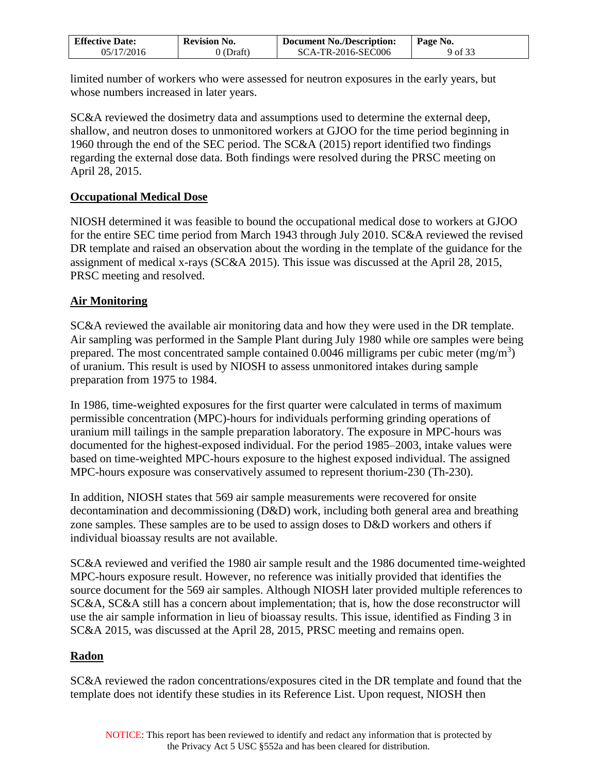| <b>Effective Date:</b> | <b>Revision No.</b> | <b>Document No./Description:</b> | Page No. |
|------------------------|---------------------|----------------------------------|----------|
| 05/17/2016             | Draft)              | <b>SCA-TR-2016-SEC006</b>        | 9 of 33  |

limited number of workers who were assessed for neutron exposures in the early years, but whose numbers increased in later years.

SC&A reviewed the dosimetry data and assumptions used to determine the external deep, shallow, and neutron doses to unmonitored workers at GJOO for the time period beginning in 1960 through the end of the SEC period. The SC&A (2015) report identified two findings regarding the external dose data. Both findings were resolved during the PRSC meeting on April 28, 2015.

#### **Occupational Medical Dose**

NIOSH determined it was feasible to bound the occupational medical dose to workers at GJOO for the entire SEC time period from March 1943 through July 2010. SC&A reviewed the revised DR template and raised an observation about the wording in the template of the guidance for the assignment of medical x-rays (SC&A 2015). This issue was discussed at the April 28, 2015, PRSC meeting and resolved.

#### **Air Monitoring**

SC&A reviewed the available air monitoring data and how they were used in the DR template. Air sampling was performed in the Sample Plant during July 1980 while ore samples were being prepared. The most concentrated sample contained 0.0046 milligrams per cubic meter  $(mg/m<sup>3</sup>)$ of uranium. This result is used by NIOSH to assess unmonitored intakes during sample preparation from 1975 to 1984.

In 1986, time-weighted exposures for the first quarter were calculated in terms of maximum permissible concentration (MPC)-hours for individuals performing grinding operations of uranium mill tailings in the sample preparation laboratory. The exposure in MPC-hours was documented for the highest-exposed individual. For the period 1985–2003, intake values were based on time-weighted MPC-hours exposure to the highest exposed individual. The assigned MPC-hours exposure was conservatively assumed to represent thorium-230 (Th-230).

In addition, NIOSH states that 569 air sample measurements were recovered for onsite decontamination and decommissioning (D&D) work, including both general area and breathing zone samples. These samples are to be used to assign doses to D&D workers and others if individual bioassay results are not available.

SC&A reviewed and verified the 1980 air sample result and the 1986 documented time-weighted MPC-hours exposure result. However, no reference was initially provided that identifies the source document for the 569 air samples. Although NIOSH later provided multiple references to SC&A, SC&A still has a concern about implementation; that is, how the dose reconstructor will use the air sample information in lieu of bioassay results. This issue, identified as Finding 3 in SC&A 2015, was discussed at the April 28, 2015, PRSC meeting and remains open.

#### **Radon**

SC&A reviewed the radon concentrations/exposures cited in the DR template and found that the template does not identify these studies in its Reference List. Upon request, NIOSH then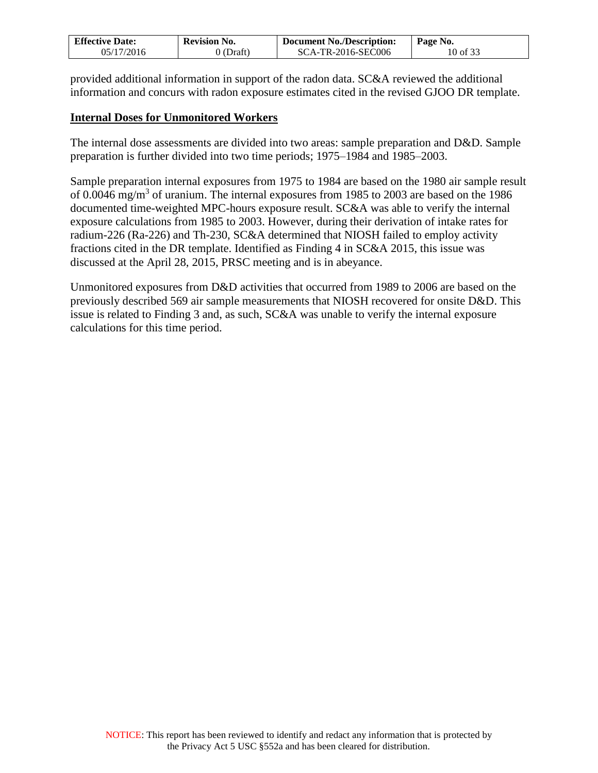| <b>Effective Date:</b> | <b>Revision No.</b> | Document No./Description: | Page No. |
|------------------------|---------------------|---------------------------|----------|
| 05/17/2016             | 0 (Draft)           | SCA-TR-2016-SEC006        | 10 of 33 |

provided additional information in support of the radon data. SC&A reviewed the additional information and concurs with radon exposure estimates cited in the revised GJOO DR template.

#### **Internal Doses for Unmonitored Workers**

The internal dose assessments are divided into two areas: sample preparation and D&D. Sample preparation is further divided into two time periods; 1975–1984 and 1985–2003.

Sample preparation internal exposures from 1975 to 1984 are based on the 1980 air sample result of 0.0046 mg/m<sup>3</sup> of uranium. The internal exposures from 1985 to 2003 are based on the 1986 documented time-weighted MPC-hours exposure result. SC&A was able to verify the internal exposure calculations from 1985 to 2003. However, during their derivation of intake rates for radium-226 (Ra-226) and Th-230, SC&A determined that NIOSH failed to employ activity fractions cited in the DR template. Identified as Finding 4 in SC&A 2015, this issue was discussed at the April 28, 2015, PRSC meeting and is in abeyance.

Unmonitored exposures from D&D activities that occurred from 1989 to 2006 are based on the previously described 569 air sample measurements that NIOSH recovered for onsite D&D. This issue is related to Finding 3 and, as such, SC&A was unable to verify the internal exposure calculations for this time period.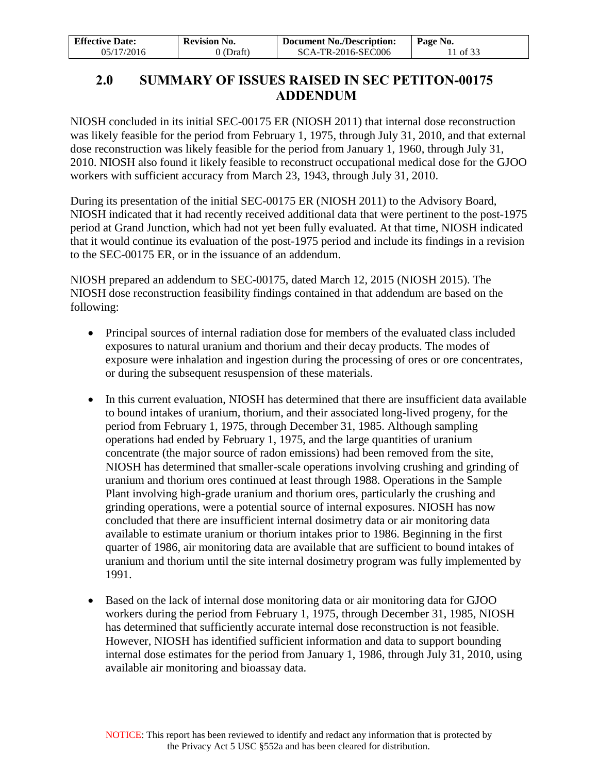| <b>Effective Date:</b> | <b>Revision No.</b> | <b>Document No./Description:</b> | Page No. |
|------------------------|---------------------|----------------------------------|----------|
| 05/17/2016             | 0 (Draft)           | SCA-TR-2016-SEC006               | 1 of 33  |

## <span id="page-10-0"></span>**2.0 SUMMARY OF ISSUES RAISED IN SEC PETITON-00175 ADDENDUM**

NIOSH concluded in its initial SEC-00175 ER (NIOSH 2011) that internal dose reconstruction was likely feasible for the period from February 1, 1975, through July 31, 2010, and that external dose reconstruction was likely feasible for the period from January 1, 1960, through July 31, 2010. NIOSH also found it likely feasible to reconstruct occupational medical dose for the GJOO workers with sufficient accuracy from March 23, 1943, through July 31, 2010.

During its presentation of the initial SEC-00175 ER (NIOSH 2011) to the Advisory Board, NIOSH indicated that it had recently received additional data that were pertinent to the post-1975 period at Grand Junction, which had not yet been fully evaluated. At that time, NIOSH indicated that it would continue its evaluation of the post-1975 period and include its findings in a revision to the SEC-00175 ER, or in the issuance of an addendum.

NIOSH prepared an addendum to SEC-00175, dated March 12, 2015 (NIOSH 2015). The NIOSH dose reconstruction feasibility findings contained in that addendum are based on the following:

- Principal sources of internal radiation dose for members of the evaluated class included exposures to natural uranium and thorium and their decay products. The modes of exposure were inhalation and ingestion during the processing of ores or ore concentrates, or during the subsequent resuspension of these materials.
- In this current evaluation, NIOSH has determined that there are insufficient data available to bound intakes of uranium, thorium, and their associated long-lived progeny, for the period from February 1, 1975, through December 31, 1985. Although sampling operations had ended by February 1, 1975, and the large quantities of uranium concentrate (the major source of radon emissions) had been removed from the site, NIOSH has determined that smaller-scale operations involving crushing and grinding of uranium and thorium ores continued at least through 1988. Operations in the Sample Plant involving high-grade uranium and thorium ores, particularly the crushing and grinding operations, were a potential source of internal exposures. NIOSH has now concluded that there are insufficient internal dosimetry data or air monitoring data available to estimate uranium or thorium intakes prior to 1986. Beginning in the first quarter of 1986, air monitoring data are available that are sufficient to bound intakes of uranium and thorium until the site internal dosimetry program was fully implemented by 1991.
- Based on the lack of internal dose monitoring data or air monitoring data for GJOO workers during the period from February 1, 1975, through December 31, 1985, NIOSH has determined that sufficiently accurate internal dose reconstruction is not feasible. However, NIOSH has identified sufficient information and data to support bounding internal dose estimates for the period from January 1, 1986, through July 31, 2010, using available air monitoring and bioassay data.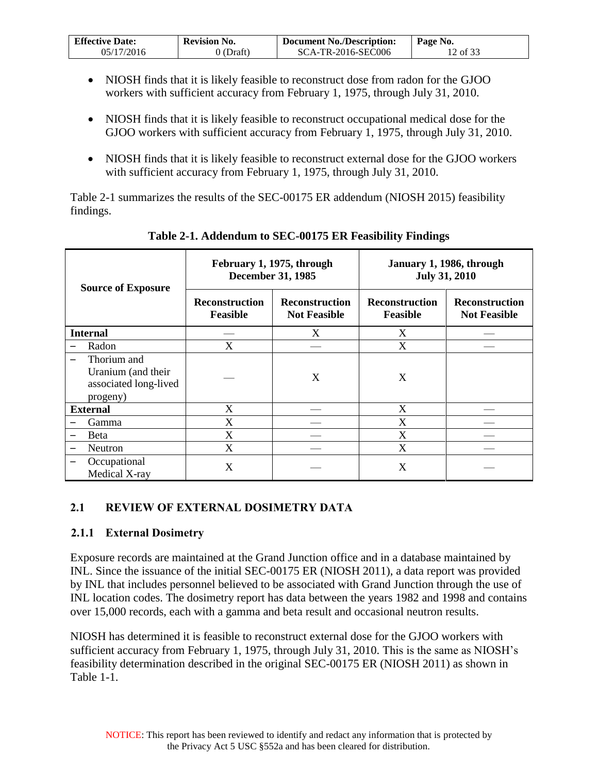| <b>Effective Date:</b> | <b>Revision No.</b> | <b>Document No./Description:</b> | Page No. |
|------------------------|---------------------|----------------------------------|----------|
| 05/17/2016             | $0$ (Draft)         | SCA-TR-2016-SEC006               | 2 of 33  |

- NIOSH finds that it is likely feasible to reconstruct dose from radon for the GJOO workers with sufficient accuracy from February 1, 1975, through July 31, 2010.
- NIOSH finds that it is likely feasible to reconstruct occupational medical dose for the GJOO workers with sufficient accuracy from February 1, 1975, through July 31, 2010.
- NIOSH finds that it is likely feasible to reconstruct external dose for the GJOO workers with sufficient accuracy from February 1, 1975, through July 31, 2010.

Table 2-1 summarizes the results of the SEC-00175 ER addendum (NIOSH 2015) feasibility findings.

<span id="page-11-2"></span>

| <b>Source of Exposure</b>                                              | February 1, 1975, through<br><b>December 31, 1985</b> |                                              | January 1, 1986, through<br><b>July 31, 2010</b> |                                              |
|------------------------------------------------------------------------|-------------------------------------------------------|----------------------------------------------|--------------------------------------------------|----------------------------------------------|
|                                                                        | <b>Reconstruction</b><br><b>Feasible</b>              | <b>Reconstruction</b><br><b>Not Feasible</b> | <b>Reconstruction</b><br><b>Feasible</b>         | <b>Reconstruction</b><br><b>Not Feasible</b> |
| <b>Internal</b>                                                        |                                                       | X                                            | X                                                |                                              |
| Radon                                                                  | X                                                     |                                              | X                                                |                                              |
| Thorium and<br>Uranium (and their<br>associated long-lived<br>progeny) |                                                       | X                                            | X                                                |                                              |
| <b>External</b>                                                        | X                                                     |                                              | X                                                |                                              |
| Gamma                                                                  | X                                                     |                                              | X                                                |                                              |
| <b>B</b> eta                                                           | X                                                     |                                              | X                                                |                                              |
| Neutron                                                                | X                                                     |                                              | X                                                |                                              |
| Occupational<br>Medical X-ray                                          | X                                                     |                                              | X                                                |                                              |

**Table 2-1. Addendum to SEC-00175 ER Feasibility Findings** 

#### <span id="page-11-0"></span>**2.1 REVIEW OF EXTERNAL DOSIMETRY DATA**

#### <span id="page-11-1"></span>**2.1.1 External Dosimetry**

Exposure records are maintained at the Grand Junction office and in a database maintained by INL. Since the issuance of the initial SEC-00175 ER (NIOSH 2011), a data report was provided by INL that includes personnel believed to be associated with Grand Junction through the use of INL location codes. The dosimetry report has data between the years 1982 and 1998 and contains over 15,000 records, each with a gamma and beta result and occasional neutron results.

NIOSH has determined it is feasible to reconstruct external dose for the GJOO workers with sufficient accuracy from February 1, 1975, through July 31, 2010. This is the same as NIOSH's feasibility determination described in the original SEC-00175 ER (NIOSH 2011) as shown in Table 1-1.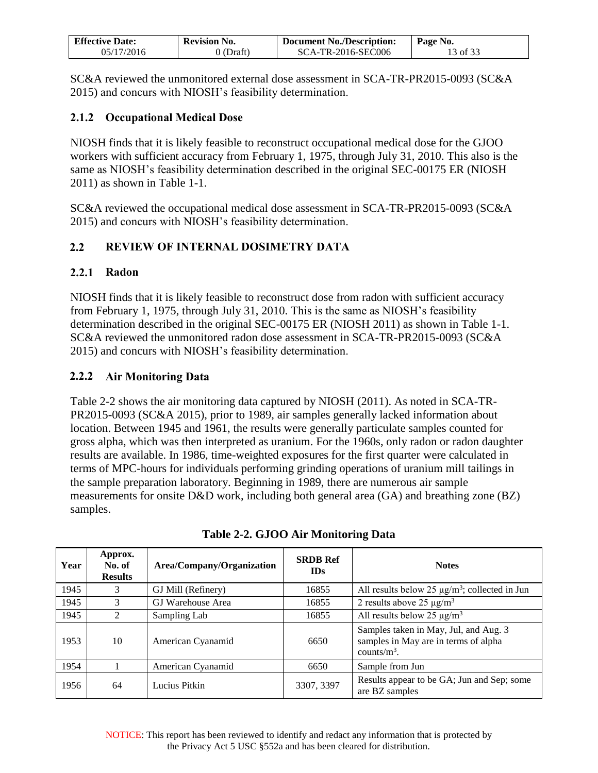| <b>Effective Date:</b> | <b>Revision No.</b> | <b>Document No./Description:</b> | Page No. |
|------------------------|---------------------|----------------------------------|----------|
| 05/17/2016             | $0$ (Draft)         | SCA-TR-2016-SEC006               | 13 of 33 |

SC&A reviewed the unmonitored external dose assessment in SCA-TR-PR2015-0093 (SC&A 2015) and concurs with NIOSH's feasibility determination.

### <span id="page-12-0"></span>**2.1.2 Occupational Medical Dose**

NIOSH finds that it is likely feasible to reconstruct occupational medical dose for the GJOO workers with sufficient accuracy from February 1, 1975, through July 31, 2010. This also is the same as NIOSH's feasibility determination described in the original SEC-00175 ER (NIOSH 2011) as shown in Table 1-1.

SC&A reviewed the occupational medical dose assessment in SCA-TR-PR2015-0093 (SC&A 2015) and concurs with NIOSH's feasibility determination.

### <span id="page-12-1"></span>**2.2 REVIEW OF INTERNAL DOSIMETRY DATA**

#### <span id="page-12-2"></span>**2.2.1 Radon**

NIOSH finds that it is likely feasible to reconstruct dose from radon with sufficient accuracy from February 1, 1975, through July 31, 2010. This is the same as NIOSH's feasibility determination described in the original SEC-00175 ER (NIOSH 2011) as shown in Table 1-1. SC&A reviewed the unmonitored radon dose assessment in SCA-TR-PR2015-0093 (SC&A 2015) and concurs with NIOSH's feasibility determination.

### <span id="page-12-3"></span>**2.2.2 Air Monitoring Data**

Table 2-2 shows the air monitoring data captured by NIOSH (2011). As noted in SCA-TR-PR2015-0093 (SC&A 2015), prior to 1989, air samples generally lacked information about location. Between 1945 and 1961, the results were generally particulate samples counted for gross alpha, which was then interpreted as uranium. For the 1960s, only radon or radon daughter results are available. In 1986, time-weighted exposures for the first quarter were calculated in terms of MPC-hours for individuals performing grinding operations of uranium mill tailings in the sample preparation laboratory. Beginning in 1989, there are numerous air sample measurements for onsite D&D work, including both general area (GA) and breathing zone (BZ) samples.

<span id="page-12-4"></span>

| Year | Approx.<br>No. of<br><b>Results</b> | Area/Company/Organization | <b>SRDB Ref</b><br><b>IDs</b> | <b>Notes</b>                                                                                     |
|------|-------------------------------------|---------------------------|-------------------------------|--------------------------------------------------------------------------------------------------|
| 1945 | 3                                   | GJ Mill (Refinery)        | 16855                         | All results below 25 $\mu$ g/m <sup>3</sup> ; collected in Jun                                   |
| 1945 | 3                                   | GJ Warehouse Area         | 16855                         | 2 results above 25 $\mu$ g/m <sup>3</sup>                                                        |
| 1945 | $\mathcal{D}_{\mathcal{L}}$         | Sampling Lab              | 16855                         | All results below 25 $\mu$ g/m <sup>3</sup>                                                      |
| 1953 | 10                                  | American Cyanamid         | 6650                          | Samples taken in May, Jul, and Aug. 3<br>samples in May are in terms of alpha<br>counts/ $m^3$ . |
| 1954 |                                     | American Cyanamid         | 6650                          | Sample from Jun                                                                                  |
| 1956 | 64                                  | Lucius Pitkin             | 3307, 3397                    | Results appear to be GA; Jun and Sep; some<br>are BZ samples                                     |

**Table 2-2. GJOO Air Monitoring Data**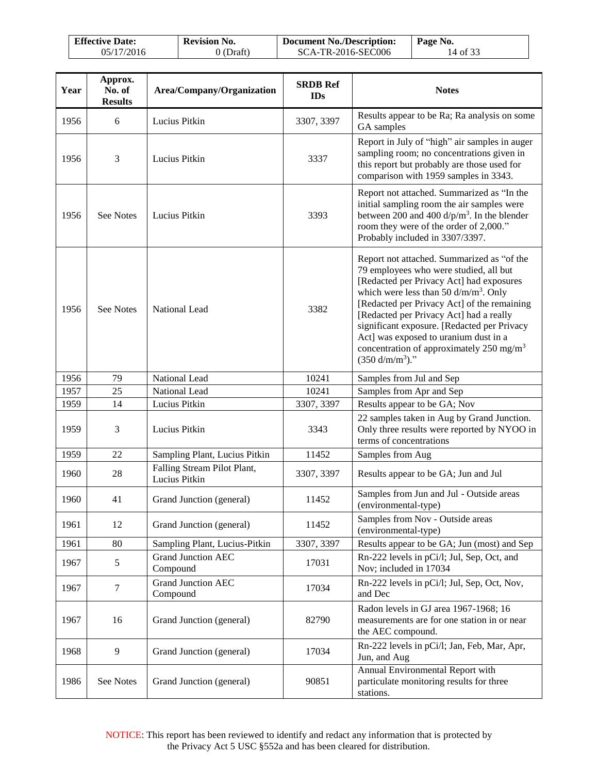| <b>Effective Date:</b> | <b>Revision No.</b> | <b>Document No./Description:</b> | Page No. |
|------------------------|---------------------|----------------------------------|----------|
| 05/17/2016             | 0 (Draft)           | SCA-TR-2016-SEC006               | 14 of 33 |

| Year | Approx.<br>No. of<br><b>Results</b> | Area/Company/Organization                    | <b>SRDB Ref</b><br><b>IDs</b> | <b>Notes</b>                                                                                                                                                                                                                                                                                                                                                                                                                                        |
|------|-------------------------------------|----------------------------------------------|-------------------------------|-----------------------------------------------------------------------------------------------------------------------------------------------------------------------------------------------------------------------------------------------------------------------------------------------------------------------------------------------------------------------------------------------------------------------------------------------------|
| 1956 | 6                                   | Lucius Pitkin                                | 3307, 3397                    | Results appear to be Ra; Ra analysis on some<br>GA samples                                                                                                                                                                                                                                                                                                                                                                                          |
| 1956 | 3                                   | Lucius Pitkin                                | 3337                          | Report in July of "high" air samples in auger<br>sampling room; no concentrations given in<br>this report but probably are those used for<br>comparison with 1959 samples in 3343.                                                                                                                                                                                                                                                                  |
| 1956 | See Notes                           | Lucius Pitkin                                | 3393                          | Report not attached. Summarized as "In the<br>initial sampling room the air samples were<br>between 200 and 400 $d/p/m3$ . In the blender<br>room they were of the order of 2,000."<br>Probably included in 3307/3397.                                                                                                                                                                                                                              |
| 1956 | <b>See Notes</b>                    | National Lead                                | 3382                          | Report not attached. Summarized as "of the<br>79 employees who were studied, all but<br>[Redacted per Privacy Act] had exposures<br>which were less than 50 $d/m/m3$ . Only<br>[Redacted per Privacy Act] of the remaining<br>[Redacted per Privacy Act] had a really<br>significant exposure. [Redacted per Privacy<br>Act] was exposed to uranium dust in a<br>concentration of approximately 250 mg/m <sup>3</sup><br>$(350 \text{ d/m/m}^3)$ ." |
| 1956 | 79                                  | National Lead                                | 10241                         | Samples from Jul and Sep                                                                                                                                                                                                                                                                                                                                                                                                                            |
| 1957 | 25                                  | National Lead                                | 10241                         | Samples from Apr and Sep                                                                                                                                                                                                                                                                                                                                                                                                                            |
| 1959 | 14                                  | Lucius Pitkin                                | 3307, 3397                    | Results appear to be GA; Nov                                                                                                                                                                                                                                                                                                                                                                                                                        |
| 1959 | 3                                   | Lucius Pitkin                                | 3343                          | 22 samples taken in Aug by Grand Junction.<br>Only three results were reported by NYOO in<br>terms of concentrations                                                                                                                                                                                                                                                                                                                                |
| 1959 | 22                                  | Sampling Plant, Lucius Pitkin                | 11452                         | Samples from Aug                                                                                                                                                                                                                                                                                                                                                                                                                                    |
| 1960 | 28                                  | Falling Stream Pilot Plant,<br>Lucius Pitkin | 3307, 3397                    | Results appear to be GA; Jun and Jul                                                                                                                                                                                                                                                                                                                                                                                                                |
| 1960 | 41                                  | Grand Junction (general)                     | 11452                         | Samples from Jun and Jul - Outside areas<br>(environmental-type)                                                                                                                                                                                                                                                                                                                                                                                    |
| 1961 | 12                                  | Grand Junction (general)                     | 11452                         | Samples from Nov - Outside areas<br>(environmental-type)                                                                                                                                                                                                                                                                                                                                                                                            |
| 1961 | 80                                  | Sampling Plant, Lucius-Pitkin                | 3307, 3397                    | Results appear to be GA; Jun (most) and Sep                                                                                                                                                                                                                                                                                                                                                                                                         |
| 1967 | $\sqrt{5}$                          | <b>Grand Junction AEC</b><br>Compound        | 17031                         | Rn-222 levels in pCi/l; Jul, Sep, Oct, and<br>Nov; included in 17034                                                                                                                                                                                                                                                                                                                                                                                |
| 1967 | $\tau$                              | <b>Grand Junction AEC</b><br>Compound        | 17034                         | Rn-222 levels in pCi/l; Jul, Sep, Oct, Nov,<br>and Dec                                                                                                                                                                                                                                                                                                                                                                                              |
| 1967 | 16                                  | Grand Junction (general)                     | 82790                         | Radon levels in GJ area 1967-1968; 16<br>measurements are for one station in or near<br>the AEC compound.                                                                                                                                                                                                                                                                                                                                           |
| 1968 | 9                                   | Grand Junction (general)                     | 17034                         | Rn-222 levels in pCi/l; Jan, Feb, Mar, Apr,<br>Jun, and Aug                                                                                                                                                                                                                                                                                                                                                                                         |
| 1986 | See Notes                           | Grand Junction (general)                     | 90851                         | Annual Environmental Report with<br>particulate monitoring results for three<br>stations.                                                                                                                                                                                                                                                                                                                                                           |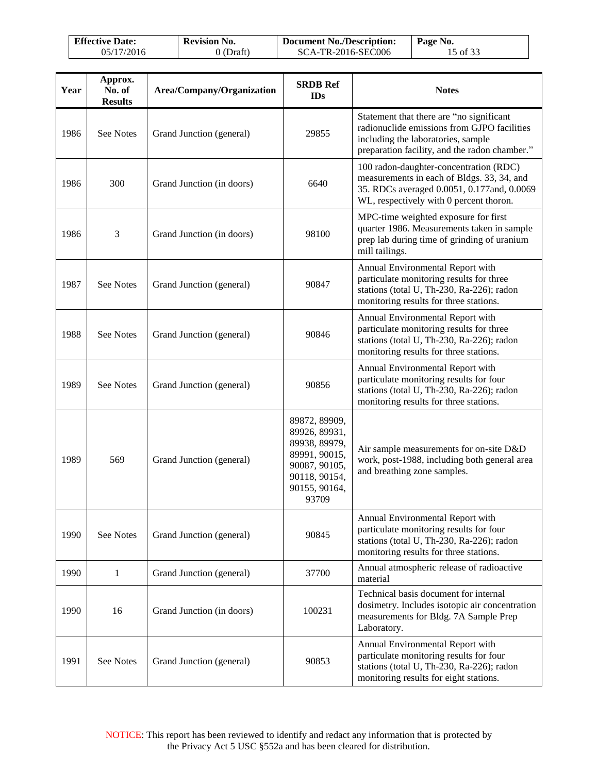| <b>Effective Date:</b> | <b>Revision No.</b> | <b>Document No./Description:</b> | Page No. |
|------------------------|---------------------|----------------------------------|----------|
| 05/17/2016             | 0 (Draft)           | SCA-TR-2016-SEC006               | 15 of 33 |

| Year | Approx.<br>No. of<br><b>Results</b> | Area/Company/Organization | <b>SRDB Ref</b><br><b>IDs</b>                                                                                                | <b>Notes</b>                                                                                                                                                                   |
|------|-------------------------------------|---------------------------|------------------------------------------------------------------------------------------------------------------------------|--------------------------------------------------------------------------------------------------------------------------------------------------------------------------------|
| 1986 | See Notes                           | Grand Junction (general)  | 29855                                                                                                                        | Statement that there are "no significant<br>radionuclide emissions from GJPO facilities<br>including the laboratories, sample<br>preparation facility, and the radon chamber." |
| 1986 | 300                                 | Grand Junction (in doors) | 6640                                                                                                                         | 100 radon-daughter-concentration (RDC)<br>measurements in each of Bldgs. 33, 34, and<br>35. RDCs averaged 0.0051, 0.177 and, 0.0069<br>WL, respectively with 0 percent thoron. |
| 1986 | 3                                   | Grand Junction (in doors) | 98100                                                                                                                        | MPC-time weighted exposure for first<br>quarter 1986. Measurements taken in sample<br>prep lab during time of grinding of uranium<br>mill tailings.                            |
| 1987 | See Notes                           | Grand Junction (general)  | 90847                                                                                                                        | Annual Environmental Report with<br>particulate monitoring results for three<br>stations (total U, Th-230, Ra-226); radon<br>monitoring results for three stations.            |
| 1988 | See Notes                           | Grand Junction (general)  | 90846                                                                                                                        | Annual Environmental Report with<br>particulate monitoring results for three<br>stations (total U, Th-230, Ra-226); radon<br>monitoring results for three stations.            |
| 1989 | See Notes                           | Grand Junction (general)  | 90856                                                                                                                        | Annual Environmental Report with<br>particulate monitoring results for four<br>stations (total U, Th-230, Ra-226); radon<br>monitoring results for three stations.             |
| 1989 | 569                                 | Grand Junction (general)  | 89872, 89909,<br>89926, 89931,<br>89938, 89979,<br>89991, 90015,<br>90087, 90105,<br>90118, 90154,<br>90155, 90164,<br>93709 | Air sample measurements for on-site D&D<br>work, post-1988, including both general area<br>and breathing zone samples.                                                         |
| 1990 | See Notes                           | Grand Junction (general)  | 90845                                                                                                                        | Annual Environmental Report with<br>particulate monitoring results for four<br>stations (total U, Th-230, Ra-226); radon<br>monitoring results for three stations.             |
| 1990 | 1                                   | Grand Junction (general)  | 37700                                                                                                                        | Annual atmospheric release of radioactive<br>material                                                                                                                          |
| 1990 | 16                                  | Grand Junction (in doors) | 100231                                                                                                                       | Technical basis document for internal<br>dosimetry. Includes isotopic air concentration<br>measurements for Bldg. 7A Sample Prep<br>Laboratory.                                |
| 1991 | See Notes                           | Grand Junction (general)  | 90853                                                                                                                        | Annual Environmental Report with<br>particulate monitoring results for four<br>stations (total U, Th-230, Ra-226); radon<br>monitoring results for eight stations.             |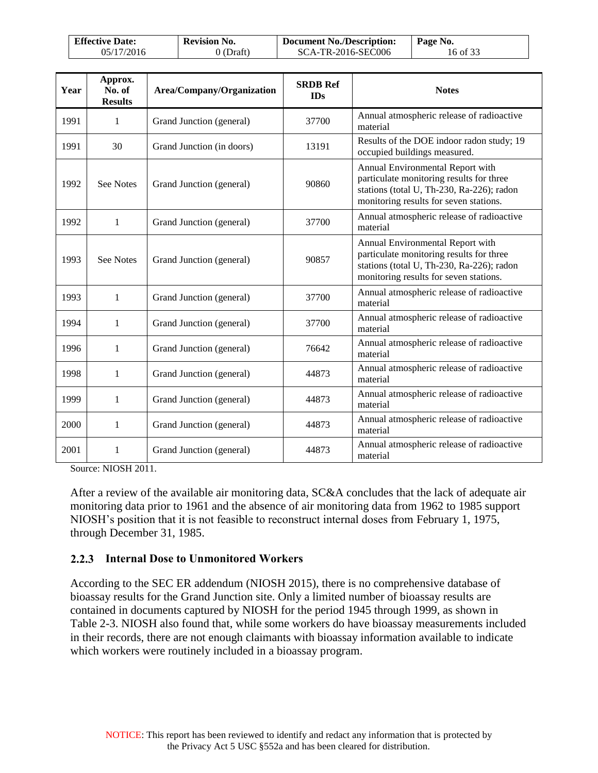| <b>Effective Date:</b> | <b>Revision No.</b> | <b>Document No./Description:</b> | Page No. |
|------------------------|---------------------|----------------------------------|----------|
| 05/17/2016             | 0 (Draft)           | SCA-TR-2016-SEC006               | 16 of 33 |

| Year | Approx.<br>No. of<br><b>Results</b> | Area/Company/Organization | <b>SRDB Ref</b><br><b>IDs</b> | <b>Notes</b>                                                                                                                                                        |
|------|-------------------------------------|---------------------------|-------------------------------|---------------------------------------------------------------------------------------------------------------------------------------------------------------------|
| 1991 | 1                                   | Grand Junction (general)  | 37700                         | Annual atmospheric release of radioactive<br>material                                                                                                               |
| 1991 | 30                                  | Grand Junction (in doors) | 13191                         | Results of the DOE indoor radon study; 19<br>occupied buildings measured.                                                                                           |
| 1992 | See Notes                           | Grand Junction (general)  | 90860                         | Annual Environmental Report with<br>particulate monitoring results for three<br>stations (total U, Th-230, Ra-226); radon<br>monitoring results for seven stations. |
| 1992 | $\mathbf{1}$                        | Grand Junction (general)  | 37700                         | Annual atmospheric release of radioactive<br>material                                                                                                               |
| 1993 | <b>See Notes</b>                    | Grand Junction (general)  | 90857                         | Annual Environmental Report with<br>particulate monitoring results for three<br>stations (total U, Th-230, Ra-226); radon<br>monitoring results for seven stations. |
| 1993 | 1                                   | Grand Junction (general)  | 37700                         | Annual atmospheric release of radioactive<br>material                                                                                                               |
| 1994 | 1                                   | Grand Junction (general)  | 37700                         | Annual atmospheric release of radioactive<br>material                                                                                                               |
| 1996 | 1                                   | Grand Junction (general)  | 76642                         | Annual atmospheric release of radioactive<br>material                                                                                                               |
| 1998 | 1                                   | Grand Junction (general)  | 44873                         | Annual atmospheric release of radioactive<br>material                                                                                                               |
| 1999 | 1                                   | Grand Junction (general)  | 44873                         | Annual atmospheric release of radioactive<br>material                                                                                                               |
| 2000 | 1                                   | Grand Junction (general)  | 44873                         | Annual atmospheric release of radioactive<br>material                                                                                                               |
| 2001 | 1                                   | Grand Junction (general)  | 44873                         | Annual atmospheric release of radioactive<br>material                                                                                                               |

Source: NIOSH 2011.

After a review of the available air monitoring data, SC&A concludes that the lack of adequate air monitoring data prior to 1961 and the absence of air monitoring data from 1962 to 1985 support NIOSH's position that it is not feasible to reconstruct internal doses from February 1, 1975, through December 31, 1985.

#### <span id="page-15-0"></span>**2.2.3 Internal Dose to Unmonitored Workers**

According to the SEC ER addendum (NIOSH 2015), there is no comprehensive database of bioassay results for the Grand Junction site. Only a limited number of bioassay results are contained in documents captured by NIOSH for the period 1945 through 1999, as shown in Table 2-3. NIOSH also found that, while some workers do have bioassay measurements included in their records, there are not enough claimants with bioassay information available to indicate which workers were routinely included in a bioassay program.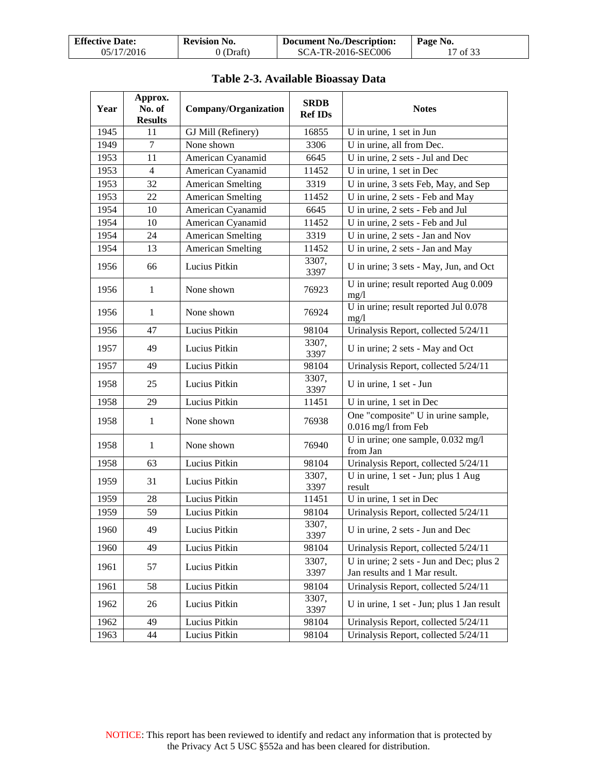| <b>Effective Date:</b> | <b>Revision No.</b> | <b>Document No./Description:</b> | Page No. |
|------------------------|---------------------|----------------------------------|----------|
| 05/17/2016             | 0 (Draft)           | SCA-TR-2016-SEC006               | 17 of 33 |

<span id="page-16-0"></span>

| Year | Approx.<br>No. of<br><b>Results</b> | Company/Organization     | <b>SRDB</b><br><b>Ref IDs</b> | <b>Notes</b>                                                              |
|------|-------------------------------------|--------------------------|-------------------------------|---------------------------------------------------------------------------|
| 1945 | 11                                  | GJ Mill (Refinery)       | 16855                         | U in urine, 1 set in Jun                                                  |
| 1949 | 7                                   | None shown               | 3306                          | U in urine, all from Dec.                                                 |
| 1953 | 11                                  | American Cyanamid        | 6645                          | U in urine, 2 sets - Jul and Dec                                          |
| 1953 | $\overline{4}$                      | American Cyanamid        | 11452                         | U in urine, 1 set in Dec                                                  |
| 1953 | 32                                  | <b>American Smelting</b> | 3319                          | U in urine, 3 sets Feb, May, and Sep                                      |
| 1953 | 22                                  | <b>American Smelting</b> | 11452                         | U in urine, 2 sets - Feb and May                                          |
| 1954 | 10                                  | American Cyanamid        | 6645                          | U in urine, 2 sets - Feb and Jul                                          |
| 1954 | 10                                  | American Cyanamid        | 11452                         | U in urine, 2 sets - Feb and Jul                                          |
| 1954 | 24                                  | <b>American Smelting</b> | 3319                          | U in urine, 2 sets - Jan and Nov                                          |
| 1954 | 13                                  | <b>American Smelting</b> | 11452                         | U in urine, 2 sets - Jan and May                                          |
| 1956 | 66                                  | Lucius Pitkin            | 3307,<br>3397                 | U in urine; 3 sets - May, Jun, and Oct                                    |
| 1956 | 1                                   | None shown               | 76923                         | U in urine; result reported Aug 0.009<br>mg/1                             |
| 1956 | 1                                   | None shown               | 76924                         | U in urine; result reported Jul 0.078<br>mg/1                             |
| 1956 | 47                                  | Lucius Pitkin            | 98104                         | Urinalysis Report, collected 5/24/11                                      |
| 1957 | 49                                  | Lucius Pitkin            | 3307,<br>3397                 | U in urine; 2 sets - May and Oct                                          |
| 1957 | 49                                  | Lucius Pitkin            | 98104                         | Urinalysis Report, collected 5/24/11                                      |
| 1958 | 25                                  | Lucius Pitkin            | 3307,<br>3397                 | U in urine, 1 set - Jun                                                   |
| 1958 | 29                                  | Lucius Pitkin            | 11451                         | U in urine, 1 set in Dec                                                  |
| 1958 | $\mathbf{1}$                        | None shown               | 76938                         | One "composite" U in urine sample,<br>0.016 mg/l from Feb                 |
| 1958 | 1                                   | None shown               | 76940                         | U in urine; one sample, 0.032 mg/l<br>from Jan                            |
| 1958 | 63                                  | Lucius Pitkin            | 98104                         | Urinalysis Report, collected 5/24/11                                      |
| 1959 | 31                                  | Lucius Pitkin            | 3307,<br>3397                 | U in urine, 1 set - Jun; plus 1 Aug<br>result                             |
| 1959 | 28                                  | Lucius Pitkin            | 11451                         | U in urine, 1 set in Dec                                                  |
| 1959 | 59                                  | Lucius Pitkin            | 98104                         | Urinalysis Report, collected 5/24/11                                      |
| 1960 | 49                                  | Lucius Pitkin            | 3307,<br>3397                 | U in urine, 2 sets - Jun and Dec                                          |
| 1960 | 49                                  | Lucius Pitkin            | 98104                         | Urinalysis Report, collected 5/24/11                                      |
| 1961 | 57                                  | Lucius Pitkin            | 3307,<br>3397                 | U in urine; 2 sets - Jun and Dec; plus 2<br>Jan results and 1 Mar result. |
| 1961 | 58                                  | Lucius Pitkin            | 98104                         | Urinalysis Report, collected 5/24/11                                      |
| 1962 | 26                                  | Lucius Pitkin            | 3307,<br>3397                 | U in urine, 1 set - Jun; plus 1 Jan result                                |
| 1962 | 49                                  | Lucius Pitkin            | 98104                         | Urinalysis Report, collected 5/24/11                                      |
| 1963 | 44                                  | Lucius Pitkin            | 98104                         | Urinalysis Report, collected 5/24/11                                      |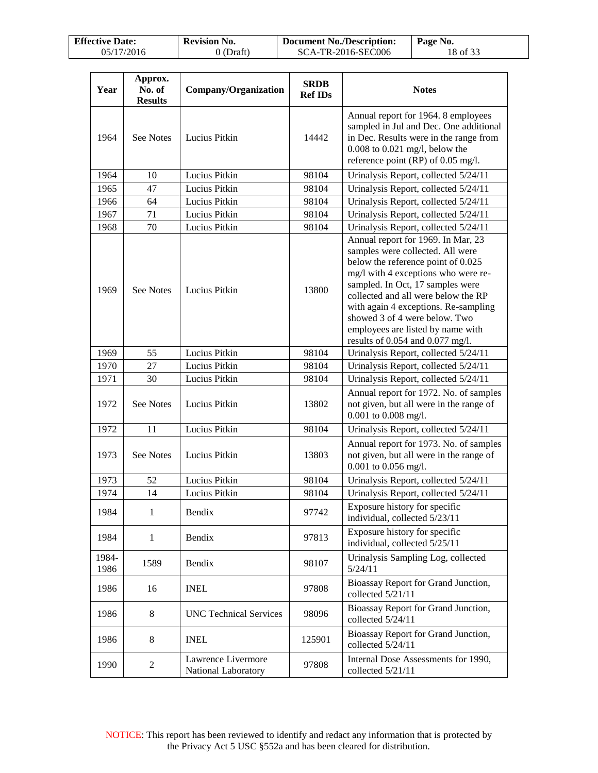| <b>Effective Date:</b> | <b>Revision No.</b> | <b>Document No./Description:</b> | Page No. |
|------------------------|---------------------|----------------------------------|----------|
| 05/17/2016             | 0 (Draft)           | SCA-TR-2016-SEC006               | 18 of 33 |

| Year          | Approx.<br>No. of<br><b>Results</b> | Company/Organization                      | <b>SRDB</b><br><b>Ref IDs</b> | <b>Notes</b>                                                                                                                                                                                                                                                                                                                                                                     |
|---------------|-------------------------------------|-------------------------------------------|-------------------------------|----------------------------------------------------------------------------------------------------------------------------------------------------------------------------------------------------------------------------------------------------------------------------------------------------------------------------------------------------------------------------------|
| 1964          | <b>See Notes</b>                    | Lucius Pitkin                             | 14442                         | Annual report for 1964. 8 employees<br>sampled in Jul and Dec. One additional<br>in Dec. Results were in the range from<br>$0.008$ to $0.021$ mg/l, below the<br>reference point (RP) of $0.05$ mg/l.                                                                                                                                                                            |
| 1964          | 10                                  | Lucius Pitkin                             | 98104                         | Urinalysis Report, collected 5/24/11                                                                                                                                                                                                                                                                                                                                             |
| 1965          | 47                                  | Lucius Pitkin                             | 98104                         | Urinalysis Report, collected 5/24/11                                                                                                                                                                                                                                                                                                                                             |
| 1966          | 64                                  | Lucius Pitkin                             | 98104                         | Urinalysis Report, collected 5/24/11                                                                                                                                                                                                                                                                                                                                             |
| 1967          | 71                                  | Lucius Pitkin                             | 98104                         | Urinalysis Report, collected 5/24/11                                                                                                                                                                                                                                                                                                                                             |
| 1968          | 70                                  | Lucius Pitkin                             | 98104                         | Urinalysis Report, collected 5/24/11                                                                                                                                                                                                                                                                                                                                             |
| 1969          | <b>See Notes</b>                    | Lucius Pitkin                             | 13800                         | Annual report for 1969. In Mar, 23<br>samples were collected. All were<br>below the reference point of 0.025<br>mg/l with 4 exceptions who were re-<br>sampled. In Oct, 17 samples were<br>collected and all were below the RP<br>with again 4 exceptions. Re-sampling<br>showed 3 of 4 were below. Two<br>employees are listed by name with<br>results of 0.054 and 0.077 mg/l. |
| 1969          | 55                                  | Lucius Pitkin                             | 98104                         | Urinalysis Report, collected 5/24/11                                                                                                                                                                                                                                                                                                                                             |
| 1970          | 27                                  | Lucius Pitkin                             | 98104                         | Urinalysis Report, collected 5/24/11                                                                                                                                                                                                                                                                                                                                             |
| 1971          | 30                                  | Lucius Pitkin                             | 98104                         | Urinalysis Report, collected 5/24/11                                                                                                                                                                                                                                                                                                                                             |
| 1972          | See Notes                           | Lucius Pitkin                             | 13802                         | Annual report for 1972. No. of samples<br>not given, but all were in the range of<br>0.001 to 0.008 mg/l.                                                                                                                                                                                                                                                                        |
| 1972          | 11                                  | Lucius Pitkin                             | 98104                         | Urinalysis Report, collected 5/24/11                                                                                                                                                                                                                                                                                                                                             |
| 1973          | See Notes                           | Lucius Pitkin                             | 13803                         | Annual report for 1973. No. of samples<br>not given, but all were in the range of<br>0.001 to 0.056 mg/l.                                                                                                                                                                                                                                                                        |
| 1973          | 52                                  | Lucius Pitkin                             | 98104                         | Urinalysis Report, collected 5/24/11                                                                                                                                                                                                                                                                                                                                             |
| 1974          | 14                                  | Lucius Pitkin                             | 98104                         | Urinalysis Report, collected 5/24/11                                                                                                                                                                                                                                                                                                                                             |
| 1984          | 1                                   | Bendix                                    | 97742                         | Exposure history for specific<br>individual, collected 5/23/11                                                                                                                                                                                                                                                                                                                   |
| 1984          | $\mathbf{1}$                        | Bendix                                    | 97813                         | Exposure history for specific<br>individual, collected 5/25/11                                                                                                                                                                                                                                                                                                                   |
| 1984-<br>1986 | 1589                                | Bendix                                    | 98107                         | Urinalysis Sampling Log, collected<br>5/24/11                                                                                                                                                                                                                                                                                                                                    |
| 1986          | 16                                  | <b>INEL</b>                               | 97808                         | Bioassay Report for Grand Junction,<br>collected 5/21/11                                                                                                                                                                                                                                                                                                                         |
| 1986          | 8                                   | <b>UNC Technical Services</b>             | 98096                         | Bioassay Report for Grand Junction,<br>collected 5/24/11                                                                                                                                                                                                                                                                                                                         |
| 1986          | 8                                   | <b>INEL</b>                               | 125901                        | Bioassay Report for Grand Junction,<br>collected 5/24/11                                                                                                                                                                                                                                                                                                                         |
| 1990          | $\overline{c}$                      | Lawrence Livermore<br>National Laboratory | 97808                         | Internal Dose Assessments for 1990,<br>collected 5/21/11                                                                                                                                                                                                                                                                                                                         |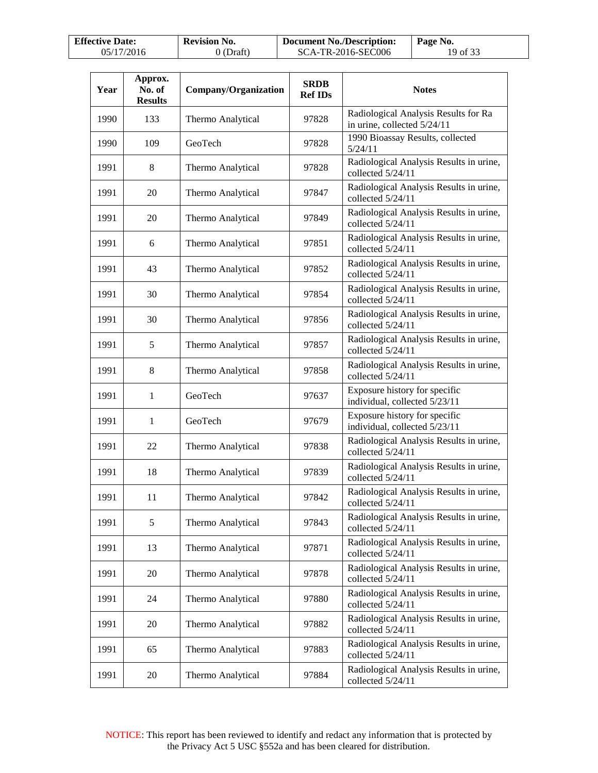| <b>Effective Date:</b> | <b>Revision No.</b> | <b>Document No./Description:</b> | Page No. |
|------------------------|---------------------|----------------------------------|----------|
| 05/17/2016             | $0$ (Draft)         | SCA-TR-2016-SEC006               | 19 of 33 |

| Year | Approx.<br>No. of<br><b>Results</b> | Company/Organization | <b>SRDB</b><br><b>Ref IDs</b> | <b>Notes</b>                                                        |
|------|-------------------------------------|----------------------|-------------------------------|---------------------------------------------------------------------|
| 1990 | 133                                 | Thermo Analytical    | 97828                         | Radiological Analysis Results for Ra<br>in urine, collected 5/24/11 |
| 1990 | 109                                 | GeoTech              | 97828                         | 1990 Bioassay Results, collected<br>5/24/11                         |
| 1991 | 8                                   | Thermo Analytical    | 97828                         | Radiological Analysis Results in urine,<br>collected 5/24/11        |
| 1991 | 20                                  | Thermo Analytical    | 97847                         | Radiological Analysis Results in urine,<br>collected 5/24/11        |
| 1991 | 20                                  | Thermo Analytical    | 97849                         | Radiological Analysis Results in urine,<br>collected 5/24/11        |
| 1991 | 6                                   | Thermo Analytical    | 97851                         | Radiological Analysis Results in urine,<br>collected 5/24/11        |
| 1991 | 43                                  | Thermo Analytical    | 97852                         | Radiological Analysis Results in urine,<br>collected 5/24/11        |
| 1991 | 30                                  | Thermo Analytical    | 97854                         | Radiological Analysis Results in urine,<br>collected 5/24/11        |
| 1991 | 30                                  | Thermo Analytical    | 97856                         | Radiological Analysis Results in urine,<br>collected 5/24/11        |
| 1991 | 5                                   | Thermo Analytical    | 97857                         | Radiological Analysis Results in urine,<br>collected 5/24/11        |
| 1991 | 8                                   | Thermo Analytical    | 97858                         | Radiological Analysis Results in urine,<br>collected 5/24/11        |
| 1991 | 1                                   | GeoTech              | 97637                         | Exposure history for specific<br>individual, collected 5/23/11      |
| 1991 | 1                                   | GeoTech              | 97679                         | Exposure history for specific<br>individual, collected 5/23/11      |
| 1991 | 22                                  | Thermo Analytical    | 97838                         | Radiological Analysis Results in urine,<br>collected 5/24/11        |
| 1991 | 18                                  | Thermo Analytical    | 97839                         | Radiological Analysis Results in urine,<br>collected 5/24/11        |
| 1991 | 11                                  | Thermo Analytical    | 97842                         | Radiological Analysis Results in urine,<br>collected 5/24/11        |
| 1991 | 5                                   | Thermo Analytical    | 97843                         | Radiological Analysis Results in urine,<br>collected 5/24/11        |
| 1991 | 13                                  | Thermo Analytical    | 97871                         | Radiological Analysis Results in urine,<br>collected 5/24/11        |
| 1991 | 20                                  | Thermo Analytical    | 97878                         | Radiological Analysis Results in urine,<br>collected 5/24/11        |
| 1991 | 24                                  | Thermo Analytical    | 97880                         | Radiological Analysis Results in urine,<br>collected 5/24/11        |
| 1991 | 20                                  | Thermo Analytical    | 97882                         | Radiological Analysis Results in urine,<br>collected 5/24/11        |
| 1991 | 65                                  | Thermo Analytical    | 97883                         | Radiological Analysis Results in urine,<br>collected 5/24/11        |
| 1991 | 20                                  | Thermo Analytical    | 97884                         | Radiological Analysis Results in urine,<br>collected 5/24/11        |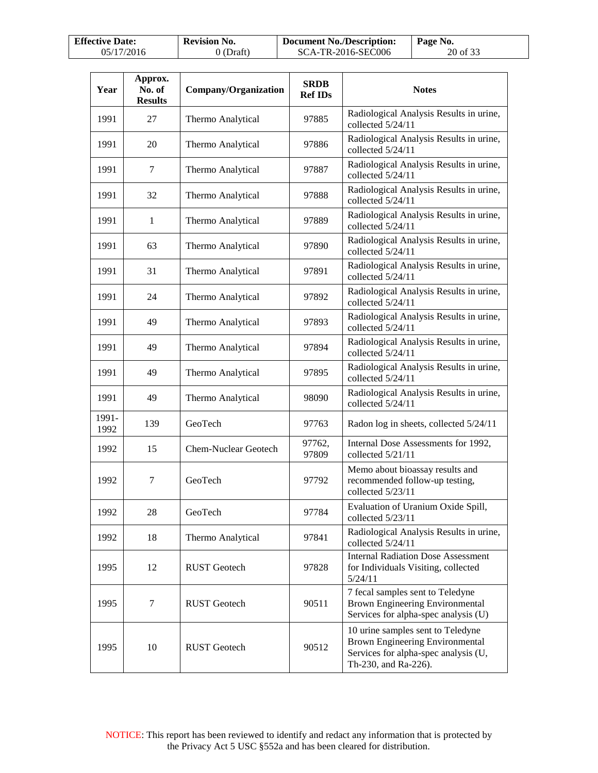| <b>Effective Date:</b> | <b>Revision No.</b> | <b>Document No./Description:</b> | Page No. |
|------------------------|---------------------|----------------------------------|----------|
| 05/17/2016             | $0$ (Draft)         | SCA-TR-2016-SEC006               | 20 of 33 |

| Year          | Approx.<br>No. of<br><b>Results</b> | Company/Organization        | <b>SRDB</b><br><b>Ref IDs</b> | <b>Notes</b>                                                                                                                                |
|---------------|-------------------------------------|-----------------------------|-------------------------------|---------------------------------------------------------------------------------------------------------------------------------------------|
| 1991          | 27                                  | Thermo Analytical           | 97885                         | Radiological Analysis Results in urine,<br>collected 5/24/11                                                                                |
| 1991          | 20                                  | Thermo Analytical           | 97886                         | Radiological Analysis Results in urine,<br>collected 5/24/11                                                                                |
| 1991          | 7                                   | Thermo Analytical           | 97887                         | Radiological Analysis Results in urine,<br>collected 5/24/11                                                                                |
| 1991          | 32                                  | Thermo Analytical           | 97888                         | Radiological Analysis Results in urine,<br>collected 5/24/11                                                                                |
| 1991          | 1                                   | Thermo Analytical           | 97889                         | Radiological Analysis Results in urine,<br>collected 5/24/11                                                                                |
| 1991          | 63                                  | Thermo Analytical           | 97890                         | Radiological Analysis Results in urine,<br>collected 5/24/11                                                                                |
| 1991          | 31                                  | Thermo Analytical           | 97891                         | Radiological Analysis Results in urine,<br>collected 5/24/11                                                                                |
| 1991          | 24                                  | Thermo Analytical           | 97892                         | Radiological Analysis Results in urine,<br>collected 5/24/11                                                                                |
| 1991          | 49                                  | Thermo Analytical           | 97893                         | Radiological Analysis Results in urine,<br>collected 5/24/11                                                                                |
| 1991          | 49                                  | Thermo Analytical           | 97894                         | Radiological Analysis Results in urine,<br>collected 5/24/11                                                                                |
| 1991          | 49                                  | Thermo Analytical           | 97895                         | Radiological Analysis Results in urine,<br>collected 5/24/11                                                                                |
| 1991          | 49                                  | Thermo Analytical           | 98090                         | Radiological Analysis Results in urine,<br>collected 5/24/11                                                                                |
| 1991-<br>1992 | 139                                 | GeoTech                     | 97763                         | Radon log in sheets, collected 5/24/11                                                                                                      |
| 1992          | 15                                  | <b>Chem-Nuclear Geotech</b> | 97762,<br>97809               | Internal Dose Assessments for 1992,<br>collected 5/21/11                                                                                    |
| 1992          | 7                                   | GeoTech                     | 97792                         | Memo about bioassay results and<br>recommended follow-up testing,<br>collected 5/23/11                                                      |
| 1992          | 28                                  | GeoTech                     | 97784                         | Evaluation of Uranium Oxide Spill,<br>collected 5/23/11                                                                                     |
| 1992          | 18                                  | Thermo Analytical           | 97841                         | Radiological Analysis Results in urine,<br>collected 5/24/11                                                                                |
| 1995          | 12                                  | <b>RUST</b> Geotech         | 97828                         | <b>Internal Radiation Dose Assessment</b><br>for Individuals Visiting, collected<br>5/24/11                                                 |
| 1995          | 7                                   | <b>RUST</b> Geotech         | 90511                         | 7 fecal samples sent to Teledyne<br>Brown Engineering Environmental<br>Services for alpha-spec analysis (U)                                 |
| 1995          | 10                                  | <b>RUST</b> Geotech         | 90512                         | 10 urine samples sent to Teledyne<br><b>Brown Engineering Environmental</b><br>Services for alpha-spec analysis (U,<br>Th-230, and Ra-226). |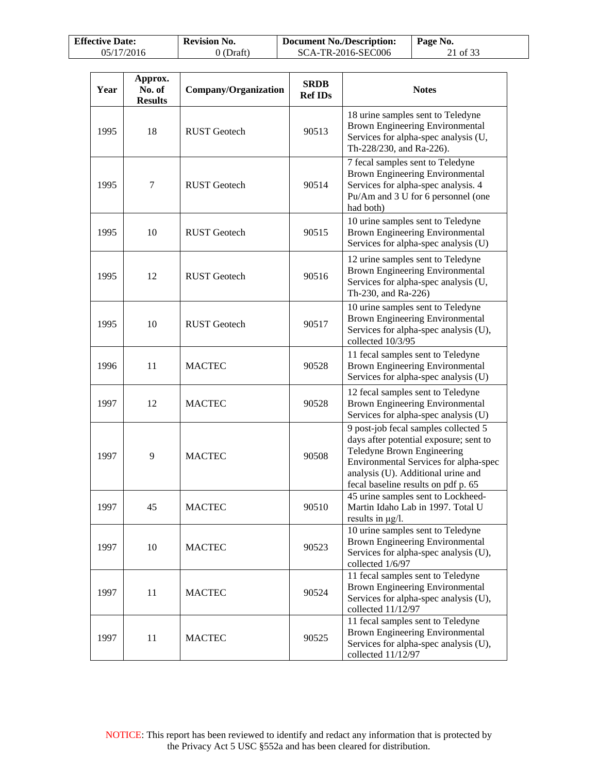| <b>Effective Date:</b> | <b>Revision No.</b> | <b>Document No./Description:</b> | Page No. |
|------------------------|---------------------|----------------------------------|----------|
| 05/17/2016             | 0 (Draft)           | SCA-TR-2016-SEC006               | 21 of 33 |

 $\lceil$ 

| Year | Approx.<br>No. of<br><b>Results</b> | Company/Organization | <b>SRDB</b><br><b>Ref IDs</b> | <b>Notes</b>                                                                                                                                                                                                                       |
|------|-------------------------------------|----------------------|-------------------------------|------------------------------------------------------------------------------------------------------------------------------------------------------------------------------------------------------------------------------------|
| 1995 | 18                                  | <b>RUST</b> Geotech  | 90513                         | 18 urine samples sent to Teledyne<br>Brown Engineering Environmental<br>Services for alpha-spec analysis (U,<br>Th-228/230, and Ra-226).                                                                                           |
| 1995 | 7                                   | <b>RUST</b> Geotech  | 90514                         | 7 fecal samples sent to Teledyne<br><b>Brown Engineering Environmental</b><br>Services for alpha-spec analysis. 4<br>Pu/Am and 3 U for 6 personnel (one<br>had both)                                                               |
| 1995 | 10                                  | <b>RUST</b> Geotech  | 90515                         | 10 urine samples sent to Teledyne<br><b>Brown Engineering Environmental</b><br>Services for alpha-spec analysis (U)                                                                                                                |
| 1995 | 12                                  | <b>RUST</b> Geotech  | 90516                         | 12 urine samples sent to Teledyne<br>Brown Engineering Environmental<br>Services for alpha-spec analysis (U,<br>Th-230, and Ra-226)                                                                                                |
| 1995 | 10                                  | <b>RUST</b> Geotech  | 90517                         | 10 urine samples sent to Teledyne<br>Brown Engineering Environmental<br>Services for alpha-spec analysis (U),<br>collected 10/3/95                                                                                                 |
| 1996 | 11                                  | <b>MACTEC</b>        | 90528                         | 11 fecal samples sent to Teledyne<br>Brown Engineering Environmental<br>Services for alpha-spec analysis (U)                                                                                                                       |
| 1997 | 12                                  | <b>MACTEC</b>        | 90528                         | 12 fecal samples sent to Teledyne<br>Brown Engineering Environmental<br>Services for alpha-spec analysis (U)                                                                                                                       |
| 1997 | 9                                   | <b>MACTEC</b>        | 90508                         | 9 post-job fecal samples collected 5<br>days after potential exposure; sent to<br>Teledyne Brown Engineering<br>Environmental Services for alpha-spec<br>analysis (U). Additional urine and<br>fecal baseline results on pdf p. 65 |
| 1997 | 45                                  | MACTEC               | 90510                         | 45 urine samples sent to Lockheed-<br>Martin Idaho Lab in 1997. Total U<br>results in µg/l.                                                                                                                                        |
| 1997 | 10                                  | <b>MACTEC</b>        | 90523                         | 10 urine samples sent to Teledyne<br>Brown Engineering Environmental<br>Services for alpha-spec analysis (U),<br>collected 1/6/97                                                                                                  |
| 1997 | 11                                  | <b>MACTEC</b>        | 90524                         | 11 fecal samples sent to Teledyne<br>Brown Engineering Environmental<br>Services for alpha-spec analysis (U),<br>collected 11/12/97                                                                                                |
| 1997 | 11                                  | <b>MACTEC</b>        | 90525                         | 11 fecal samples sent to Teledyne<br>Brown Engineering Environmental<br>Services for alpha-spec analysis (U),<br>collected 11/12/97                                                                                                |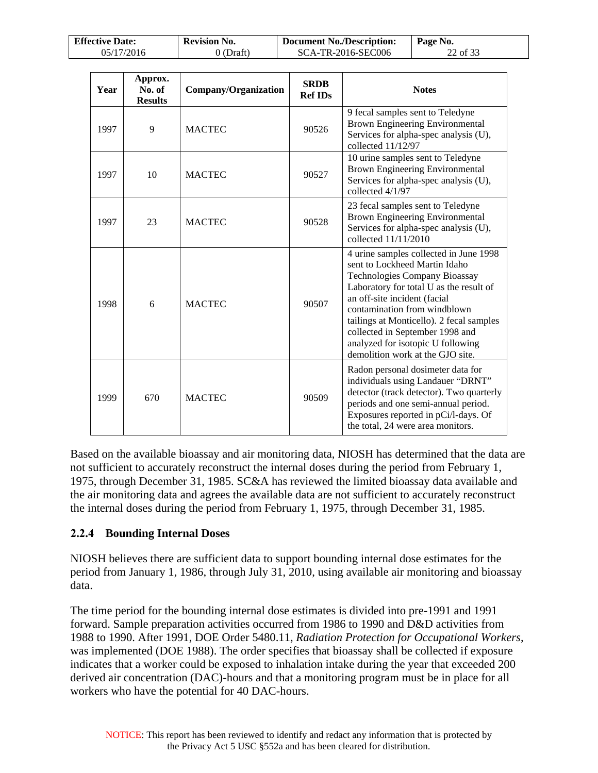| <b>Effective Date:</b> | <b>Revision No.</b> | Document No./Description: | Page No. |
|------------------------|---------------------|---------------------------|----------|
| 05/17/2016             | 0 (Draft)           | SCA-TR-2016-SEC006        | 22 of 33 |

| Year | Approx.<br>No. of<br><b>Results</b> | Company/Organization | <b>SRDB</b><br><b>Ref IDs</b> | <b>Notes</b>                                                                                                                                                                                                                                                                                                                                                                       |
|------|-------------------------------------|----------------------|-------------------------------|------------------------------------------------------------------------------------------------------------------------------------------------------------------------------------------------------------------------------------------------------------------------------------------------------------------------------------------------------------------------------------|
| 1997 | 9                                   | <b>MACTEC</b>        | 90526                         | 9 fecal samples sent to Teledyne<br><b>Brown Engineering Environmental</b><br>Services for alpha-spec analysis (U),<br>collected $11/12/97$                                                                                                                                                                                                                                        |
| 1997 | 10                                  | <b>MACTEC</b>        | 90527                         | 10 urine samples sent to Teledyne<br>Brown Engineering Environmental<br>Services for alpha-spec analysis (U),<br>collected 4/1/97                                                                                                                                                                                                                                                  |
| 1997 | 23                                  | <b>MACTEC</b>        | 90528                         | 23 fecal samples sent to Teledyne<br><b>Brown Engineering Environmental</b><br>Services for alpha-spec analysis (U),<br>collected 11/11/2010                                                                                                                                                                                                                                       |
| 1998 | 6                                   | <b>MACTEC</b>        | 90507                         | 4 urine samples collected in June 1998<br>sent to Lockheed Martin Idaho<br><b>Technologies Company Bioassay</b><br>Laboratory for total U as the result of<br>an off-site incident (facial<br>contamination from windblown<br>tailings at Monticello). 2 fecal samples<br>collected in September 1998 and<br>analyzed for isotopic U following<br>demolition work at the GJO site. |
| 1999 | 670                                 | <b>MACTEC</b>        | 90509                         | Radon personal dosimeter data for<br>individuals using Landauer "DRNT"<br>detector (track detector). Two quarterly<br>periods and one semi-annual period.<br>Exposures reported in pCi/l-days. Of<br>the total, 24 were area monitors.                                                                                                                                             |

Based on the available bioassay and air monitoring data, NIOSH has determined that the data are not sufficient to accurately reconstruct the internal doses during the period from February 1, 1975, through December 31, 1985. SC&A has reviewed the limited bioassay data available and the air monitoring data and agrees the available data are not sufficient to accurately reconstruct the internal doses during the period from February 1, 1975, through December 31, 1985.

#### <span id="page-21-0"></span>**2.2.4 Bounding Internal Doses**

NIOSH believes there are sufficient data to support bounding internal dose estimates for the period from January 1, 1986, through July 31, 2010, using available air monitoring and bioassay data.

The time period for the bounding internal dose estimates is divided into pre-1991 and 1991 forward. Sample preparation activities occurred from 1986 to 1990 and D&D activities from 1988 to 1990. After 1991, DOE Order 5480.11, *Radiation Protection for Occupational Workers*, was implemented (DOE 1988). The order specifies that bioassay shall be collected if exposure indicates that a worker could be exposed to inhalation intake during the year that exceeded 200 derived air concentration (DAC)-hours and that a monitoring program must be in place for all workers who have the potential for 40 DAC-hours.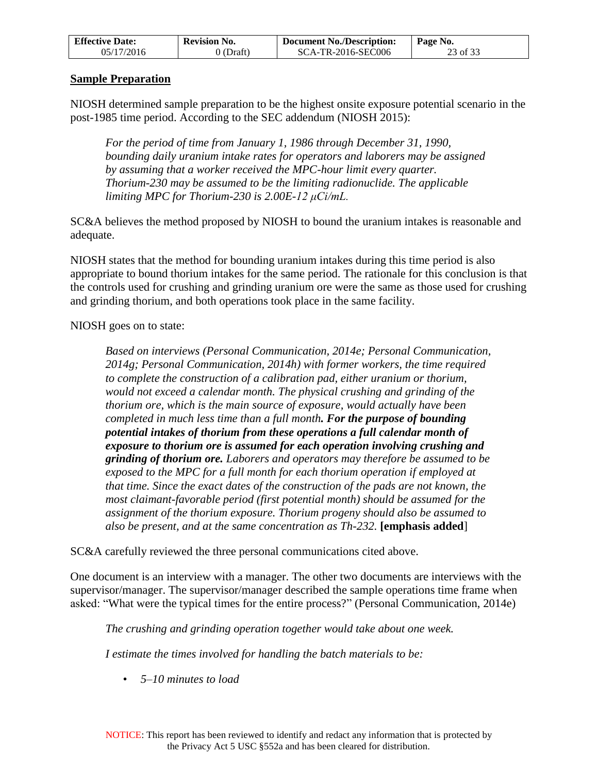| <b>Effective Date:</b> | <b>Revision No.</b> | <b>Document No./Description:</b> | Page No. |
|------------------------|---------------------|----------------------------------|----------|
| 05/17/2016             | $0$ (Draft)         | SCA-TR-2016-SEC006               | 23 of 33 |

#### **Sample Preparation**

NIOSH determined sample preparation to be the highest onsite exposure potential scenario in the post-1985 time period. According to the SEC addendum (NIOSH 2015):

*For the period of time from January 1, 1986 through December 31, 1990, bounding daily uranium intake rates for operators and laborers may be assigned by assuming that a worker received the MPC-hour limit every quarter. Thorium-230 may be assumed to be the limiting radionuclide. The applicable limiting MPC for Thorium-230 is 2.00E-12 μCi/mL.*

SC&A believes the method proposed by NIOSH to bound the uranium intakes is reasonable and adequate.

NIOSH states that the method for bounding uranium intakes during this time period is also appropriate to bound thorium intakes for the same period. The rationale for this conclusion is that the controls used for crushing and grinding uranium ore were the same as those used for crushing and grinding thorium, and both operations took place in the same facility.

NIOSH goes on to state:

*Based on interviews (Personal Communication, 2014e; Personal Communication, 2014g; Personal Communication, 2014h) with former workers, the time required to complete the construction of a calibration pad, either uranium or thorium, would not exceed a calendar month. The physical crushing and grinding of the thorium ore, which is the main source of exposure, would actually have been completed in much less time than a full month. For the purpose of bounding potential intakes of thorium from these operations a full calendar month of exposure to thorium ore is assumed for each operation involving crushing and grinding of thorium ore. Laborers and operators may therefore be assumed to be exposed to the MPC for a full month for each thorium operation if employed at that time. Since the exact dates of the construction of the pads are not known, the most claimant-favorable period (first potential month) should be assumed for the assignment of the thorium exposure. Thorium progeny should also be assumed to also be present, and at the same concentration as Th-232.* **[emphasis added**]

SC&A carefully reviewed the three personal communications cited above.

One document is an interview with a manager. The other two documents are interviews with the supervisor/manager. The supervisor/manager described the sample operations time frame when asked: "What were the typical times for the entire process?" (Personal Communication, 2014e)

*The crushing and grinding operation together would take about one week.* 

*I estimate the times involved for handling the batch materials to be:* 

• *5–10 minutes to load*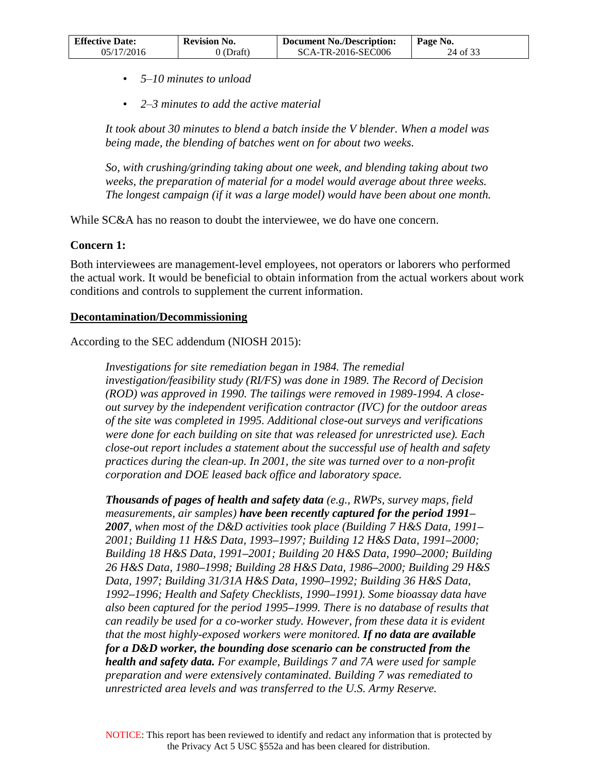| <b>Effective Date:</b> | <b>Revision No.</b> | <b>Document No./Description:</b> | Page No. |
|------------------------|---------------------|----------------------------------|----------|
| 05/17/2016             | 0 (Draft)           | SCA-TR-2016-SEC006               | 24 of 33 |

- *5–10 minutes to unload*
- *2–3 minutes to add the active material*

*It took about 30 minutes to blend a batch inside the V blender. When a model was being made, the blending of batches went on for about two weeks.* 

*So, with crushing/grinding taking about one week, and blending taking about two weeks, the preparation of material for a model would average about three weeks. The longest campaign (if it was a large model) would have been about one month.* 

While SC&A has no reason to doubt the interviewee, we do have one concern.

#### **Concern 1:**

Both interviewees are management-level employees, not operators or laborers who performed the actual work. It would be beneficial to obtain information from the actual workers about work conditions and controls to supplement the current information.

#### **Decontamination/Decommissioning**

According to the SEC addendum (NIOSH 2015):

*Investigations for site remediation began in 1984. The remedial investigation/feasibility study (RI/FS) was done in 1989. The Record of Decision (ROD) was approved in 1990. The tailings were removed in 1989-1994. A closeout survey by the independent verification contractor (IVC) for the outdoor areas of the site was completed in 1995. Additional close-out surveys and verifications were done for each building on site that was released for unrestricted use). Each close-out report includes a statement about the successful use of health and safety practices during the clean-up. In 2001, the site was turned over to a non-profit corporation and DOE leased back office and laboratory space.* 

*Thousands of pages of health and safety data (e.g., RWPs, survey maps, field measurements, air samples) have been recently captured for the period 1991– 2007, when most of the D&D activities took place (Building 7 H&S Data, 1991– 2001; Building 11 H&S Data, 1993–1997; Building 12 H&S Data, 1991–2000; Building 18 H&S Data, 1991–2001; Building 20 H&S Data, 1990–2000; Building 26 H&S Data, 1980–1998; Building 28 H&S Data, 1986–2000; Building 29 H&S Data, 1997; Building 31/31A H&S Data, 1990–1992; Building 36 H&S Data, 1992–1996; Health and Safety Checklists, 1990–1991). Some bioassay data have also been captured for the period 1995–1999. There is no database of results that can readily be used for a co-worker study. However, from these data it is evident that the most highly-exposed workers were monitored. If no data are available for a D&D worker, the bounding dose scenario can be constructed from the health and safety data. For example, Buildings 7 and 7A were used for sample preparation and were extensively contaminated. Building 7 was remediated to unrestricted area levels and was transferred to the U.S. Army Reserve.*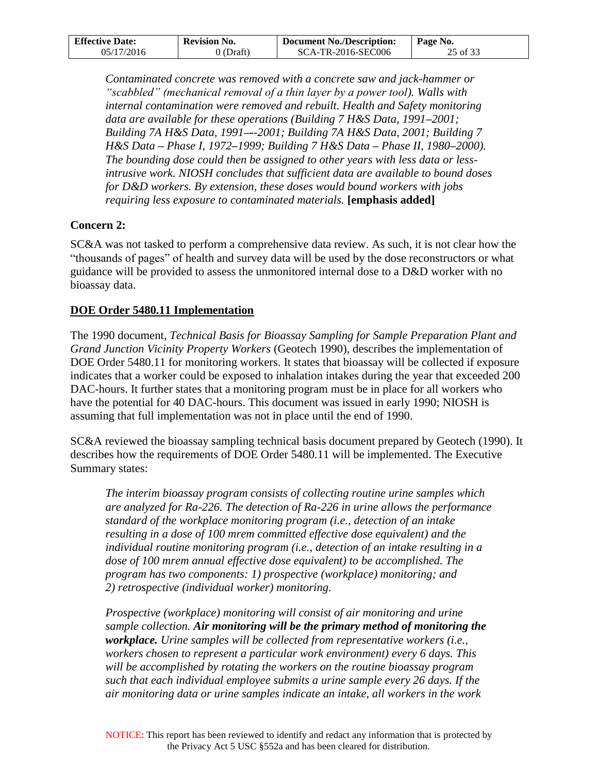| <b>Effective Date:</b> | <b>Revision No.</b> | Document No./Description: | Page No. |
|------------------------|---------------------|---------------------------|----------|
| 05/17/2016             | $0$ (Draft)         | SCA-TR-2016-SEC006        | 25 of 33 |

*Contaminated concrete was removed with a concrete saw and jack-hammer or "scabbled" (mechanical removal of a thin layer by a power tool). Walls with internal contamination were removed and rebuilt. Health and Safety monitoring data are available for these operations (Building 7 H&S Data, 1991–2001; Building 7A H&S Data, 1991–--2001; Building 7A H&S Data, 2001; Building 7 H&S Data – Phase I, 1972–1999; Building 7 H&S Data – Phase II, 1980–2000). The bounding dose could then be assigned to other years with less data or lessintrusive work. NIOSH concludes that sufficient data are available to bound doses for D&D workers. By extension, these doses would bound workers with jobs requiring less exposure to contaminated materials.* **[emphasis added]**

### **Concern 2:**

SC&A was not tasked to perform a comprehensive data review. As such, it is not clear how the "thousands of pages" of health and survey data will be used by the dose reconstructors or what guidance will be provided to assess the unmonitored internal dose to a D&D worker with no bioassay data.

#### **DOE Order 5480.11 Implementation**

The 1990 document, *Technical Basis for Bioassay Sampling for Sample Preparation Plant and Grand Junction Vicinity Property Workers* (Geotech 1990), describes the implementation of DOE Order 5480.11 for monitoring workers. It states that bioassay will be collected if exposure indicates that a worker could be exposed to inhalation intakes during the year that exceeded 200 DAC-hours. It further states that a monitoring program must be in place for all workers who have the potential for 40 DAC-hours. This document was issued in early 1990; NIOSH is assuming that full implementation was not in place until the end of 1990.

SC&A reviewed the bioassay sampling technical basis document prepared by Geotech (1990). It describes how the requirements of DOE Order 5480.11 will be implemented. The Executive Summary states:

*The interim bioassay program consists of collecting routine urine samples which are analyzed for Ra-226. The detection of Ra-226 in urine allows the performance standard of the workplace monitoring program (i.e., detection of an intake resulting in a dose of 100 mrem committed effective dose equivalent) and the individual routine monitoring program (i.e., detection of an intake resulting in a*  dose of 100 mrem annual effective dose equivalent) to be accomplished. The *program has two components: 1) prospective (workplace) monitoring; and 2) retrospective (individual worker) monitoring.* 

*Prospective (workplace) monitoring will consist of air monitoring and urine sample collection. Air monitoring will be the primary method of monitoring the workplace. Urine samples will be collected from representative workers (i.e., workers chosen to represent a particular work environment) every 6 days. This will be accomplished by rotating the workers on the routine bioassay program such that each individual employee submits a urine sample every 26 days. If the air monitoring data or urine samples indicate an intake, all workers in the work*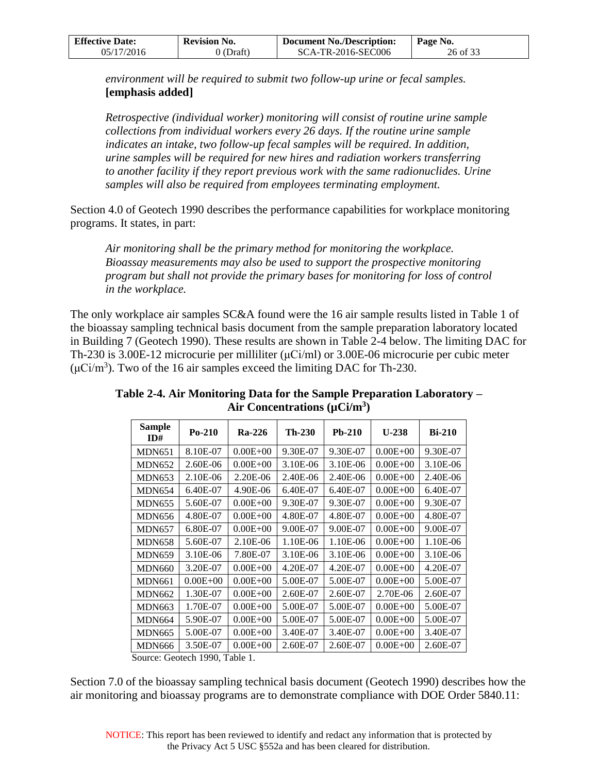| <b>Effective Date:</b> | <b>Revision No.</b> | Document No./Description: | Page No. |
|------------------------|---------------------|---------------------------|----------|
| 05/17/2016             | 0 (Draft)           | SCA-TR-2016-SEC006        | 26 of 33 |

*environment will be required to submit two follow-up urine or fecal samples.* **[emphasis added]**

*Retrospective (individual worker) monitoring will consist of routine urine sample collections from individual workers every 26 days. If the routine urine sample indicates an intake, two follow-up fecal samples will be required. In addition, urine samples will be required for new hires and radiation workers transferring*  to another facility if they report previous work with the same radionuclides. Urine *samples will also be required from employees terminating employment.* 

Section 4.0 of Geotech 1990 describes the performance capabilities for workplace monitoring programs. It states, in part:

*Air monitoring shall be the primary method for monitoring the workplace. Bioassay measurements may also be used to support the prospective monitoring program but shall not provide the primary bases for monitoring for loss of control in the workplace.* 

The only workplace air samples SC&A found were the 16 air sample results listed in Table 1 of the bioassay sampling technical basis document from the sample preparation laboratory located in Building 7 (Geotech 1990). These results are shown in Table 2-4 below. The limiting DAC for Th-230 is 3.00E-12 microcurie per milliliter (μCi/ml) or 3.00E-06 microcurie per cubic meter  $(μCi/m<sup>3</sup>)$ . Two of the 16 air samples exceed the limiting DAC for Th-230.

| <b>Sample</b><br>ID# | $Po-210$     | <b>Ra-226</b> | $Th-230$ | Pb-210   | $U-238$      | $Bi-210$ |
|----------------------|--------------|---------------|----------|----------|--------------|----------|
| <b>MDN651</b>        | 8.10E-07     | $0.00E + 00$  | 9.30E-07 | 9.30E-07 | $0.00E + 00$ | 9.30E-07 |
| <b>MDN652</b>        | 2.60E-06     | $0.00E + 00$  | 3.10E-06 | 3.10E-06 | $0.00E + 00$ | 3.10E-06 |
| <b>MDN653</b>        | 2.10E-06     | $2.20E - 06$  | 2.40E-06 | 2.40E-06 | $0.00E + 00$ | 2.40E-06 |
| <b>MDN654</b>        | 6.40E-07     | 4.90E-06      | 6.40E-07 | 6.40E-07 | $0.00E + 00$ | 6.40E-07 |
| <b>MDN655</b>        | 5.60E-07     | $0.00E + 00$  | 9.30E-07 | 9.30E-07 | $0.00E + 00$ | 9.30E-07 |
| <b>MDN656</b>        | 4.80E-07     | $0.00E + 00$  | 4.80E-07 | 4.80E-07 | $0.00E + 00$ | 4.80E-07 |
| <b>MDN657</b>        | 6.80E-07     | $0.00E + 00$  | 9.00E-07 | 9.00E-07 | $0.00E + 00$ | 9.00E-07 |
| <b>MDN658</b>        | 5.60E-07     | 2.10E-06      | 1.10E-06 | 1.10E-06 | $0.00E + 00$ | 1.10E-06 |
| <b>MDN659</b>        | 3.10E-06     | 7.80E-07      | 3.10E-06 | 3.10E-06 | $0.00E + 00$ | 3.10E-06 |
| <b>MDN660</b>        | 3.20E-07     | $0.00E + 00$  | 4.20E-07 | 4.20E-07 | $0.00E + 00$ | 4.20E-07 |
| <b>MDN661</b>        | $0.00E + 00$ | $0.00E + 00$  | 5.00E-07 | 5.00E-07 | $0.00E + 00$ | 5.00E-07 |
| <b>MDN662</b>        | 1.30E-07     | $0.00E + 00$  | 2.60E-07 | 2.60E-07 | 2.70E-06     | 2.60E-07 |
| <b>MDN663</b>        | 1.70E-07     | $0.00E + 00$  | 5.00E-07 | 5.00E-07 | $0.00E + 00$ | 5.00E-07 |
| <b>MDN664</b>        | 5.90E-07     | $0.00E + 00$  | 5.00E-07 | 5.00E-07 | $0.00E + 00$ | 5.00E-07 |
| <b>MDN665</b>        | 5.00E-07     | $0.00E + 00$  | 3.40E-07 | 3.40E-07 | $0.00E + 00$ | 3.40E-07 |
| <b>MDN666</b>        | 3.50E-07     | $0.00E + 00$  | 2.60E-07 | 2.60E-07 | $0.00E + 00$ | 2.60E-07 |

<span id="page-25-0"></span>**Table 2-4. Air Monitoring Data for the Sample Preparation Laboratory – Air Concentrations (µCi/m<sup>3</sup> )** 

Source: Geotech 1990, Table 1.

Section 7.0 of the bioassay sampling technical basis document (Geotech 1990) describes how the air monitoring and bioassay programs are to demonstrate compliance with DOE Order 5840.11: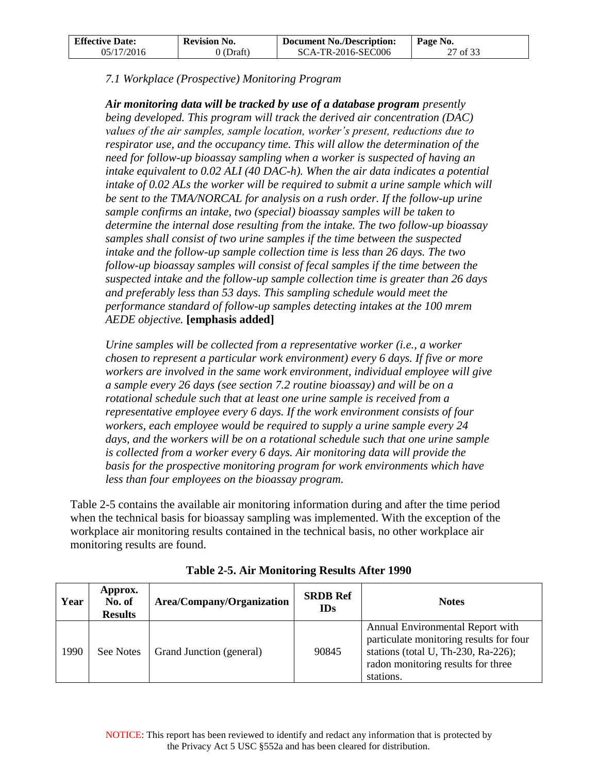| <b>Effective Date:</b> | <b>Revision No.</b> | Document No./Description: | ∣ Page No. |
|------------------------|---------------------|---------------------------|------------|
| 05/17/2016             | 0 (Draft)           | SCA-TR-2016-SEC006        | 27 of 33   |

*7.1 Workplace (Prospective) Monitoring Program* 

*Air monitoring data will be tracked by use of a database program presently being developed. This program will track the derived air concentration (DAC) values of the air samples, sample location, worker's present, reductions due to respirator use, and the occupancy time. This will allow the determination of the need for follow-up bioassay sampling when a worker is suspected of having an intake equivalent to 0.02 ALI (40 DAC-h). When the air data indicates a potential intake of 0.02 ALs the worker will be required to submit a urine sample which will* be sent to the TMA/NORCAL for analysis on a rush order. If the follow-up urine *sample confirms an intake, two (special) bioassay samples will be taken to determine the internal dose resulting from the intake. The two follow-up bioassay samples shall consist of two urine samples if the time between the suspected intake and the follow-up sample collection time is less than 26 days. The two follow-up bioassay samples will consist of fecal samples if the time between the suspected intake and the follow-up sample collection time is greater than 26 days and preferably less than 53 days. This sampling schedule would meet the performance standard of follow-up samples detecting intakes at the 100 mrem AEDE objective.* **[emphasis added]**

*Urine samples will be collected from a representative worker (i.e., a worker chosen to represent a particular work environment) every 6 days. If five or more workers are involved in the same work environment, individual employee will give a sample every 26 days (see section 7.2 routine bioassay) and will be on a rotational schedule such that at least one urine sample is received from a representative employee every 6 days. If the work environment consists of four workers, each employee would be required to supply a urine sample every 24*  days, and the workers will be on a rotational schedule such that one urine sample is collected from a worker every 6 days. Air monitoring data will provide the basis for the prospective monitoring program for work environments which have *less than four employees on the bioassay program.* 

Table 2-5 contains the available air monitoring information during and after the time period when the technical basis for bioassay sampling was implemented. With the exception of the workplace air monitoring results contained in the technical basis, no other workplace air monitoring results are found.

<span id="page-26-0"></span>

| Year | Approx.<br>No. of<br><b>Results</b> | Area/Company/Organization | <b>SRDB</b> Ref<br><b>IDs</b> | <b>Notes</b>                                                                                                                                                          |
|------|-------------------------------------|---------------------------|-------------------------------|-----------------------------------------------------------------------------------------------------------------------------------------------------------------------|
| 1990 | See Notes                           | Grand Junction (general)  | 90845                         | Annual Environmental Report with<br>particulate monitoring results for four<br>stations (total U, Th-230, Ra-226);<br>radon monitoring results for three<br>stations. |

**Table 2-5. Air Monitoring Results After 1990**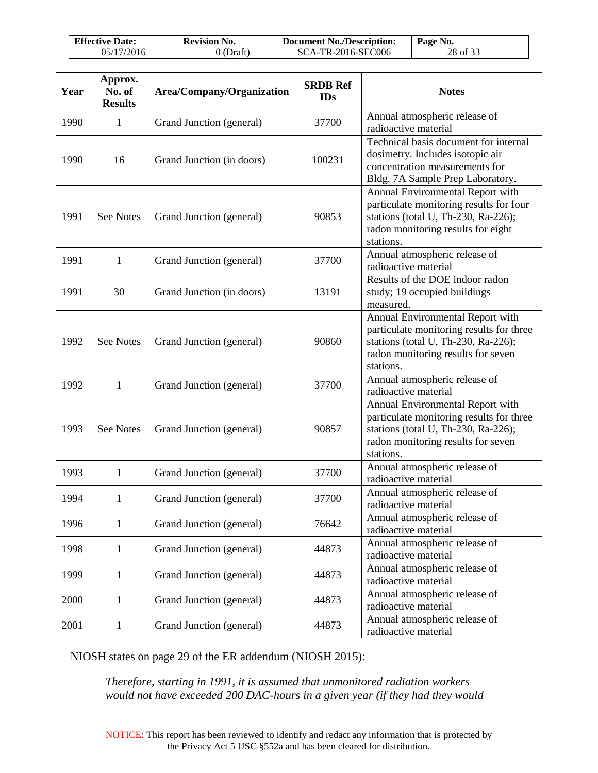| <b>Effective Date:</b> | <b>Revision No.</b> | Document No./Description: | Page No. |
|------------------------|---------------------|---------------------------|----------|
| 05/17/2016             | 0 (Draft)           | SCA-TR-2016-SEC006        | 28 of 33 |

| Year | Approx.<br>No. of<br><b>Results</b> | Area/Company/Organization | <b>SRDB Ref</b><br><b>IDs</b> | <b>Notes</b>                                                                                                                                                           |
|------|-------------------------------------|---------------------------|-------------------------------|------------------------------------------------------------------------------------------------------------------------------------------------------------------------|
| 1990 | $\mathbf{1}$                        | Grand Junction (general)  | 37700                         | Annual atmospheric release of<br>radioactive material                                                                                                                  |
| 1990 | 16                                  | Grand Junction (in doors) | 100231                        | Technical basis document for internal<br>dosimetry. Includes isotopic air<br>concentration measurements for<br>Bldg. 7A Sample Prep Laboratory.                        |
| 1991 | <b>See Notes</b>                    | Grand Junction (general)  | 90853                         | Annual Environmental Report with<br>particulate monitoring results for four<br>stations (total U, Th-230, Ra-226);<br>radon monitoring results for eight<br>stations.  |
| 1991 | $\mathbf{1}$                        | Grand Junction (general)  | 37700                         | Annual atmospheric release of<br>radioactive material                                                                                                                  |
| 1991 | 30                                  | Grand Junction (in doors) | 13191                         | Results of the DOE indoor radon<br>study; 19 occupied buildings<br>measured.                                                                                           |
| 1992 | <b>See Notes</b>                    | Grand Junction (general)  | 90860                         | Annual Environmental Report with<br>particulate monitoring results for three<br>stations (total U, Th-230, Ra-226);<br>radon monitoring results for seven<br>stations. |
| 1992 | $\mathbf{1}$                        | Grand Junction (general)  | 37700                         | Annual atmospheric release of<br>radioactive material                                                                                                                  |
| 1993 | <b>See Notes</b>                    | Grand Junction (general)  | 90857                         | Annual Environmental Report with<br>particulate monitoring results for three<br>stations (total U, Th-230, Ra-226);<br>radon monitoring results for seven<br>stations. |
| 1993 | $\mathbf{1}$                        | Grand Junction (general)  | 37700                         | Annual atmospheric release of<br>radioactive material                                                                                                                  |
| 1994 | $\mathbf{1}$                        | Grand Junction (general)  | 37700                         | Annual atmospheric release of<br>radioactive material                                                                                                                  |
| 1996 | $\mathbf{1}$                        | Grand Junction (general)  | 76642                         | Annual atmospheric release of<br>radioactive material                                                                                                                  |
| 1998 | $\mathbf{1}$                        | Grand Junction (general)  | 44873                         | Annual atmospheric release of<br>radioactive material                                                                                                                  |
| 1999 | $\mathbf{1}$                        | Grand Junction (general)  | 44873                         | Annual atmospheric release of<br>radioactive material                                                                                                                  |
| 2000 | $\mathbf{1}$                        | Grand Junction (general)  | 44873                         | Annual atmospheric release of<br>radioactive material                                                                                                                  |
| 2001 | $\mathbf{1}$                        | Grand Junction (general)  | 44873                         | Annual atmospheric release of<br>radioactive material                                                                                                                  |

NIOSH states on page 29 of the ER addendum (NIOSH 2015):

*Therefore, starting in 1991, it is assumed that unmonitored radiation workers would not have exceeded 200 DAC-hours in a given year (if they had they would*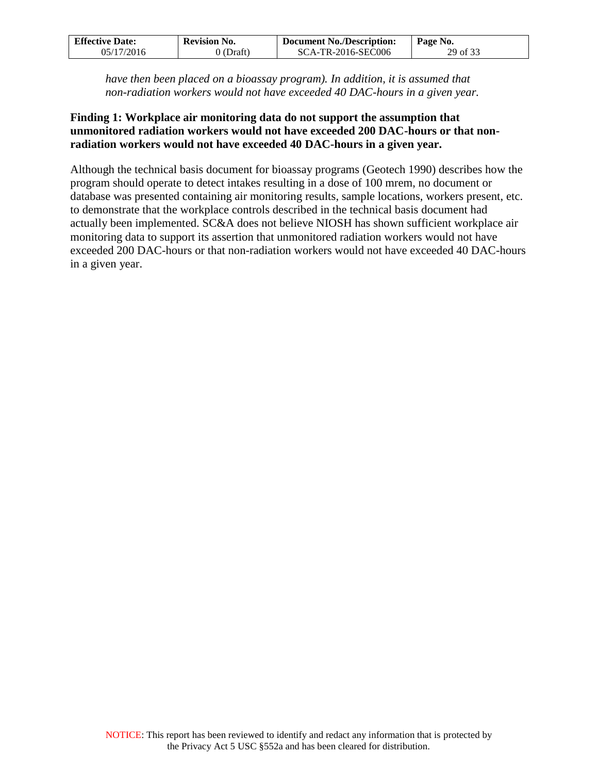| <b>Effective Date:</b> | <b>Revision No.</b> | <b>Document No./Description:</b> | Page No. |
|------------------------|---------------------|----------------------------------|----------|
| 05/17/2016             | $0$ (Draft)         | SCA-TR-2016-SEC006               | 29 of 33 |

*have then been placed on a bioassay program). In addition, it is assumed that non-radiation workers would not have exceeded 40 DAC-hours in a given year.* 

#### **Finding 1: Workplace air monitoring data do not support the assumption that unmonitored radiation workers would not have exceeded 200 DAC-hours or that nonradiation workers would not have exceeded 40 DAC-hours in a given year.**

Although the technical basis document for bioassay programs (Geotech 1990) describes how the program should operate to detect intakes resulting in a dose of 100 mrem, no document or database was presented containing air monitoring results, sample locations, workers present, etc. to demonstrate that the workplace controls described in the technical basis document had actually been implemented. SC&A does not believe NIOSH has shown sufficient workplace air monitoring data to support its assertion that unmonitored radiation workers would not have exceeded 200 DAC-hours or that non-radiation workers would not have exceeded 40 DAC-hours in a given year.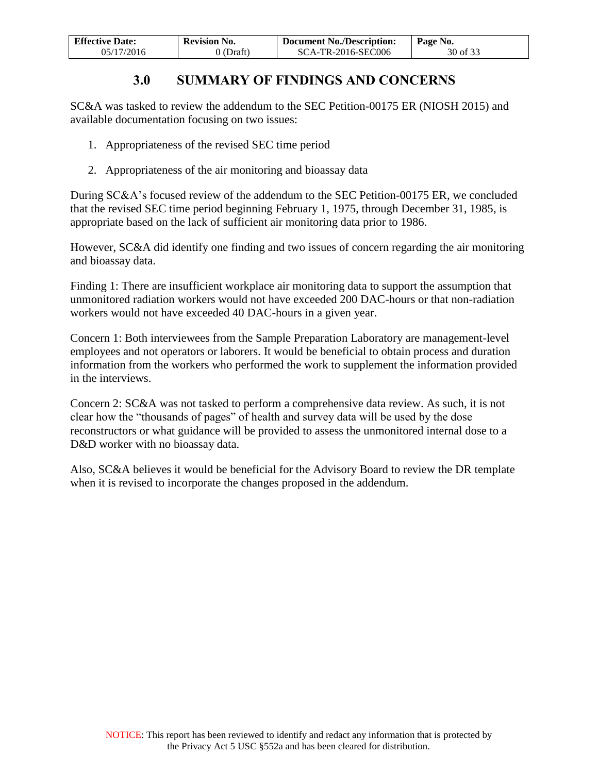| <b>Effective Date:</b> | <b>Revision No.</b> | <b>Document No./Description:</b> | Page No. |
|------------------------|---------------------|----------------------------------|----------|
| 05/17/2016             | $0$ (Draft)         | SCA-TR-2016-SEC006               | 30 of 33 |

## **3.0 SUMMARY OF FINDINGS AND CONCERNS**

<span id="page-29-0"></span>SC&A was tasked to review the addendum to the SEC Petition-00175 ER (NIOSH 2015) and available documentation focusing on two issues:

- 1. Appropriateness of the revised SEC time period
- 2. Appropriateness of the air monitoring and bioassay data

During SC&A's focused review of the addendum to the SEC Petition-00175 ER, we concluded that the revised SEC time period beginning February 1, 1975, through December 31, 1985, is appropriate based on the lack of sufficient air monitoring data prior to 1986.

However, SC&A did identify one finding and two issues of concern regarding the air monitoring and bioassay data.

Finding 1: There are insufficient workplace air monitoring data to support the assumption that unmonitored radiation workers would not have exceeded 200 DAC-hours or that non-radiation workers would not have exceeded 40 DAC-hours in a given year.

Concern 1: Both interviewees from the Sample Preparation Laboratory are management-level employees and not operators or laborers. It would be beneficial to obtain process and duration information from the workers who performed the work to supplement the information provided in the interviews.

Concern 2: SC&A was not tasked to perform a comprehensive data review. As such, it is not clear how the "thousands of pages" of health and survey data will be used by the dose reconstructors or what guidance will be provided to assess the unmonitored internal dose to a D&D worker with no bioassay data.

Also, SC&A believes it would be beneficial for the Advisory Board to review the DR template when it is revised to incorporate the changes proposed in the addendum.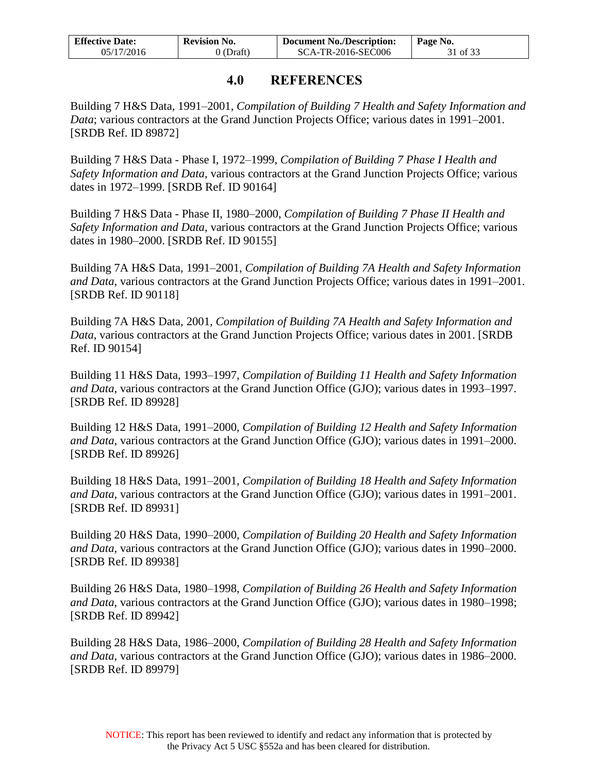| <b>Effective Date:</b> | <b>Revision No.</b> | Document No./Description: | ∣ Page No. |
|------------------------|---------------------|---------------------------|------------|
| 05/17/2016             | 0 (Draft)           | SCA-TR-2016-SEC006        | 31 of 33   |

### **4.0 REFERENCES**

<span id="page-30-0"></span>Building 7 H&S Data, 1991–2001, *Compilation of Building 7 Health and Safety Information and Data*; various contractors at the Grand Junction Projects Office; various dates in 1991–2001. [SRDB Ref. ID 89872]

Building 7 H&S Data - Phase I, 1972–1999, *Compilation of Building 7 Phase I Health and Safety Information and Data*, various contractors at the Grand Junction Projects Office; various dates in 1972–1999. [SRDB Ref. ID 90164]

Building 7 H&S Data - Phase II, 1980–2000, *Compilation of Building 7 Phase II Health and Safety Information and Data*, various contractors at the Grand Junction Projects Office; various dates in 1980–2000. [SRDB Ref. ID 90155]

Building 7A H&S Data, 1991–2001, *Compilation of Building 7A Health and Safety Information and Data*, various contractors at the Grand Junction Projects Office; various dates in 1991–2001. [SRDB Ref. ID 90118]

Building 7A H&S Data, 2001, *Compilation of Building 7A Health and Safety Information and Data*, various contractors at the Grand Junction Projects Office; various dates in 2001. [SRDB Ref. ID 90154]

Building 11 H&S Data, 1993–1997, *Compilation of Building 11 Health and Safety Information and Data*, various contractors at the Grand Junction Office (GJO); various dates in 1993–1997. [SRDB Ref. ID 89928]

Building 12 H&S Data, 1991–2000, *Compilation of Building 12 Health and Safety Information and Data*, various contractors at the Grand Junction Office (GJO); various dates in 1991–2000. [SRDB Ref. ID 89926]

Building 18 H&S Data, 1991–2001, *Compilation of Building 18 Health and Safety Information and Data*, various contractors at the Grand Junction Office (GJO); various dates in 1991–2001. [SRDB Ref. ID 89931]

Building 20 H&S Data, 1990–2000, *Compilation of Building 20 Health and Safety Information and Data*, various contractors at the Grand Junction Office (GJO); various dates in 1990–2000. [SRDB Ref. ID 89938]

Building 26 H&S Data, 1980–1998, *Compilation of Building 26 Health and Safety Information and Data*, various contractors at the Grand Junction Office (GJO); various dates in 1980–1998; [SRDB Ref. ID 89942]

Building 28 H&S Data, 1986–2000, *Compilation of Building 28 Health and Safety Information and Data*, various contractors at the Grand Junction Office (GJO); various dates in 1986–2000. [SRDB Ref. ID 89979]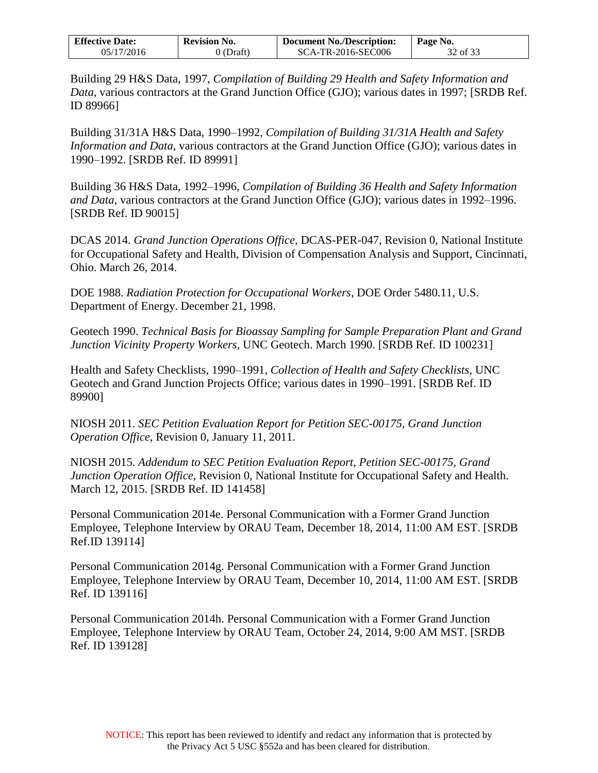| <b>Effective Date:</b> | <b>Revision No.</b> | Document No./Description: | Page No. |
|------------------------|---------------------|---------------------------|----------|
| 05/17/2016             | 0 (Draft)           | SCA-TR-2016-SEC006        | 32 of 33 |

Building 29 H&S Data, 1997, *Compilation of Building 29 Health and Safety Information and Data*, various contractors at the Grand Junction Office (GJO); various dates in 1997; [SRDB Ref. ID 89966]

Building 31/31A H&S Data, 1990–1992, *Compilation of Building 31/31A Health and Safety Information and Data*, various contractors at the Grand Junction Office (GJO); various dates in 1990–1992. [SRDB Ref. ID 89991]

Building 36 H&S Data, 1992–1996, *Compilation of Building 36 Health and Safety Information and Data*, various contractors at the Grand Junction Office (GJO); various dates in 1992–1996. [SRDB Ref. ID 90015]

DCAS 2014. *Grand Junction Operations Office*, DCAS-PER-047, Revision 0, National Institute for Occupational Safety and Health, Division of Compensation Analysis and Support, Cincinnati, Ohio. March 26, 2014.

DOE 1988. *Radiation Protection for Occupational Workers*, DOE Order 5480.11, U.S. Department of Energy. December 21, 1998.

Geotech 1990. *Technical Basis for Bioassay Sampling for Sample Preparation Plant and Grand Junction Vicinity Property Workers*, UNC Geotech. March 1990. [SRDB Ref. ID 100231]

Health and Safety Checklists, 1990–1991, *Collection of Health and Safety Checklists*, UNC Geotech and Grand Junction Projects Office; various dates in 1990–1991. [SRDB Ref. ID 89900]

NIOSH 2011. *SEC Petition Evaluation Report for Petition SEC-00175, Grand Junction Operation Office*, Revision 0, January 11, 2011.

NIOSH 2015. *Addendum to SEC Petition Evaluation Report, Petition SEC-00175, Grand Junction Operation Office*, Revision 0, National Institute for Occupational Safety and Health. March 12, 2015. [SRDB Ref. ID 141458]

Personal Communication 2014e. Personal Communication with a Former Grand Junction Employee, Telephone Interview by ORAU Team, December 18, 2014, 11:00 AM EST. [SRDB Ref.ID 139114]

Personal Communication 2014g. Personal Communication with a Former Grand Junction Employee, Telephone Interview by ORAU Team, December 10, 2014, 11:00 AM EST. [SRDB Ref. ID 139116]

Personal Communication 2014h. Personal Communication with a Former Grand Junction Employee, Telephone Interview by ORAU Team, October 24, 2014, 9:00 AM MST. [SRDB Ref. ID 139128]